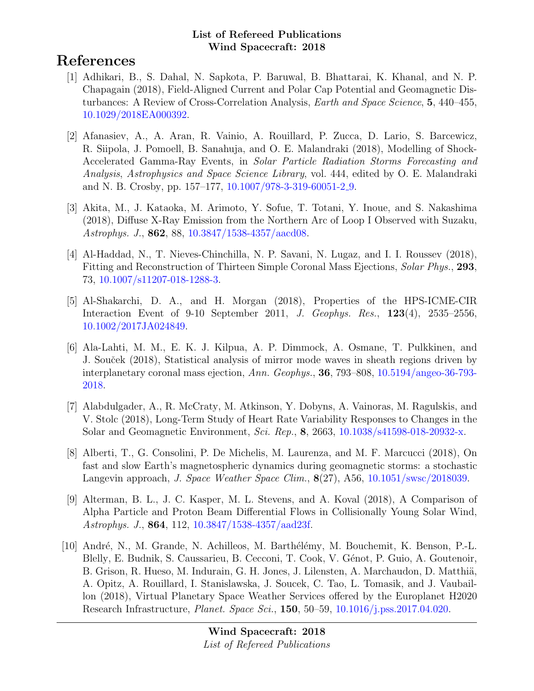# References

- [1] Adhikari, B., S. Dahal, N. Sapkota, P. Baruwal, B. Bhattarai, K. Khanal, and N. P. Chapagain (2018), Field-Aligned Current and Polar Cap Potential and Geomagnetic Disturbances: A Review of Cross-Correlation Analysis, Earth and Space Science, 5, 440–455, [10.1029/2018EA000392.](http://dx.doi.org/10.1029/2018EA000392)
- [2] Afanasiev, A., A. Aran, R. Vainio, A. Rouillard, P. Zucca, D. Lario, S. Barcewicz, R. Siipola, J. Pomoell, B. Sanahuja, and O. E. Malandraki (2018), Modelling of Shock-Accelerated Gamma-Ray Events, in Solar Particle Radiation Storms Forecasting and Analysis, Astrophysics and Space Science Library, vol. 444, edited by O. E. Malandraki and N. B. Crosby, pp. 157–177, [10.1007/978-3-319-60051-2](http://dx.doi.org/10.1007/978-3-319-60051-2_9) 9.
- [3] Akita, M., J. Kataoka, M. Arimoto, Y. Sofue, T. Totani, Y. Inoue, and S. Nakashima (2018), Diffuse X-Ray Emission from the Northern Arc of Loop I Observed with Suzaku, Astrophys. J., 862, 88, [10.3847/1538-4357/aacd08.](http://dx.doi.org/10.3847/1538-4357/aacd08)
- [4] Al-Haddad, N., T. Nieves-Chinchilla, N. P. Savani, N. Lugaz, and I. I. Roussev (2018), Fitting and Reconstruction of Thirteen Simple Coronal Mass Ejections, Solar Phys., 293, 73, [10.1007/s11207-018-1288-3.](http://dx.doi.org/10.1007/s11207-018-1288-3)
- [5] Al-Shakarchi, D. A., and H. Morgan (2018), Properties of the HPS-ICME-CIR Interaction Event of 9-10 September 2011, J. Geophys. Res., 123(4), 2535–2556, [10.1002/2017JA024849.](http://dx.doi.org/10.1002/2017JA024849)
- [6] Ala-Lahti, M. M., E. K. J. Kilpua, A. P. Dimmock, A. Osmane, T. Pulkkinen, and J. Souček (2018), Statistical analysis of mirror mode waves in sheath regions driven by interplanetary coronal mass ejection, Ann. Geophys., 36, 793–808, [10.5194/angeo-36-793-](http://dx.doi.org/10.5194/angeo-36-793-2018) [2018.](http://dx.doi.org/10.5194/angeo-36-793-2018)
- [7] Alabdulgader, A., R. McCraty, M. Atkinson, Y. Dobyns, A. Vainoras, M. Ragulskis, and V. Stolc (2018), Long-Term Study of Heart Rate Variability Responses to Changes in the Solar and Geomagnetic Environment, Sci. Rep., 8, 2663, [10.1038/s41598-018-20932-x.](http://dx.doi.org/10.1038/s41598-018-20932-x)
- [8] Alberti, T., G. Consolini, P. De Michelis, M. Laurenza, and M. F. Marcucci (2018), On fast and slow Earth's magnetospheric dynamics during geomagnetic storms: a stochastic Langevin approach, J. Space Weather Space Clim.,  $8(27)$ , A56, [10.1051/swsc/2018039.](http://dx.doi.org/10.1051/swsc/2018039)
- [9] Alterman, B. L., J. C. Kasper, M. L. Stevens, and A. Koval (2018), A Comparison of Alpha Particle and Proton Beam Differential Flows in Collisionally Young Solar Wind, Astrophys. J., 864, 112, [10.3847/1538-4357/aad23f.](http://dx.doi.org/10.3847/1538-4357/aad23f)
- [10] André, N., M. Grande, N. Achilleos, M. Barthélémy, M. Bouchemit, K. Benson, P.-L. Blelly, E. Budnik, S. Caussarieu, B. Cecconi, T. Cook, V. Génot, P. Guio, A. Goutenoir, B. Grison, R. Hueso, M. Indurain, G. H. Jones, J. Lilensten, A. Marchaudon, D. Matthiä, A. Opitz, A. Rouillard, I. Stanislawska, J. Soucek, C. Tao, L. Tomasik, and J. Vaubaillon (2018), Virtual Planetary Space Weather Services offered by the Europlanet H2020 Research Infrastructure, Planet. Space Sci., 150, 50–59, [10.1016/j.pss.2017.04.020.](http://dx.doi.org/10.1016/j.pss.2017.04.020)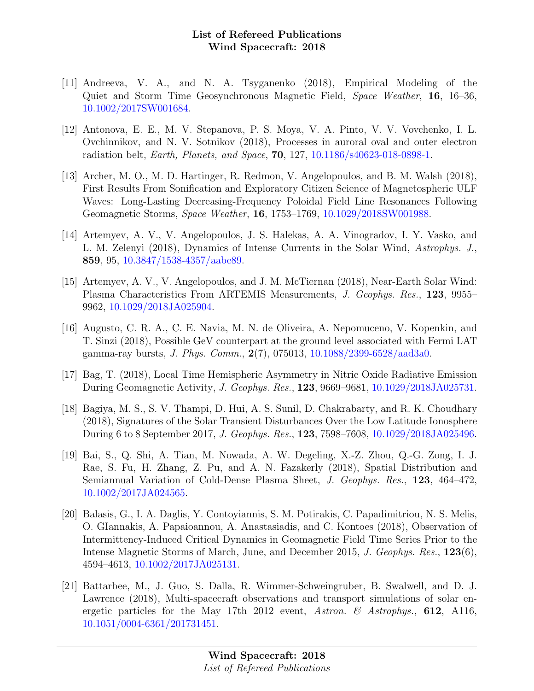- [11] Andreeva, V. A., and N. A. Tsyganenko (2018), Empirical Modeling of the Quiet and Storm Time Geosynchronous Magnetic Field, Space Weather, 16, 16–36, [10.1002/2017SW001684.](http://dx.doi.org/10.1002/2017SW001684)
- [12] Antonova, E. E., M. V. Stepanova, P. S. Moya, V. A. Pinto, V. V. Vovchenko, I. L. Ovchinnikov, and N. V. Sotnikov (2018), Processes in auroral oval and outer electron radiation belt, Earth, Planets, and Space, 70, 127, [10.1186/s40623-018-0898-1.](http://dx.doi.org/10.1186/s40623-018-0898-1)
- [13] Archer, M. O., M. D. Hartinger, R. Redmon, V. Angelopoulos, and B. M. Walsh (2018), First Results From Sonification and Exploratory Citizen Science of Magnetospheric ULF Waves: Long-Lasting Decreasing-Frequency Poloidal Field Line Resonances Following Geomagnetic Storms, Space Weather, 16, 1753–1769, [10.1029/2018SW001988.](http://dx.doi.org/10.1029/2018SW001988)
- [14] Artemyev, A. V., V. Angelopoulos, J. S. Halekas, A. A. Vinogradov, I. Y. Vasko, and L. M. Zelenyi (2018), Dynamics of Intense Currents in the Solar Wind, Astrophys. J., 859, 95, [10.3847/1538-4357/aabe89.](http://dx.doi.org/10.3847/1538-4357/aabe89)
- [15] Artemyev, A. V., V. Angelopoulos, and J. M. McTiernan (2018), Near-Earth Solar Wind: Plasma Characteristics From ARTEMIS Measurements, J. Geophys. Res., 123, 9955– 9962, [10.1029/2018JA025904.](http://dx.doi.org/10.1029/2018JA025904)
- [16] Augusto, C. R. A., C. E. Navia, M. N. de Oliveira, A. Nepomuceno, V. Kopenkin, and T. Sinzi (2018), Possible GeV counterpart at the ground level associated with Fermi LAT gamma-ray bursts, J. Phys. Comm., 2(7), 075013, [10.1088/2399-6528/aad3a0.](http://dx.doi.org/10.1088/2399-6528/aad3a0)
- [17] Bag, T. (2018), Local Time Hemispheric Asymmetry in Nitric Oxide Radiative Emission During Geomagnetic Activity, J. Geophys. Res., 123, 9669–9681, [10.1029/2018JA025731.](http://dx.doi.org/10.1029/2018JA025731)
- [18] Bagiya, M. S., S. V. Thampi, D. Hui, A. S. Sunil, D. Chakrabarty, and R. K. Choudhary (2018), Signatures of the Solar Transient Disturbances Over the Low Latitude Ionosphere During 6 to 8 September 2017, J. Geophys. Res., 123, 7598–7608, [10.1029/2018JA025496.](http://dx.doi.org/10.1029/2018JA025496)
- [19] Bai, S., Q. Shi, A. Tian, M. Nowada, A. W. Degeling, X.-Z. Zhou, Q.-G. Zong, I. J. Rae, S. Fu, H. Zhang, Z. Pu, and A. N. Fazakerly (2018), Spatial Distribution and Semiannual Variation of Cold-Dense Plasma Sheet, J. Geophys. Res., 123, 464–472, [10.1002/2017JA024565.](http://dx.doi.org/10.1002/2017JA024565)
- [20] Balasis, G., I. A. Daglis, Y. Contoyiannis, S. M. Potirakis, C. Papadimitriou, N. S. Melis, O. GIannakis, A. Papaioannou, A. Anastasiadis, and C. Kontoes (2018), Observation of Intermittency-Induced Critical Dynamics in Geomagnetic Field Time Series Prior to the Intense Magnetic Storms of March, June, and December 2015, J. Geophys. Res., 123(6), 4594–4613, [10.1002/2017JA025131.](http://dx.doi.org/10.1002/2017JA025131)
- [21] Battarbee, M., J. Guo, S. Dalla, R. Wimmer-Schweingruber, B. Swalwell, and D. J. Lawrence (2018), Multi-spacecraft observations and transport simulations of solar energetic particles for the May 17th 2012 event, Astron. & Astrophys., 612, A116, [10.1051/0004-6361/201731451.](http://dx.doi.org/10.1051/0004-6361/201731451)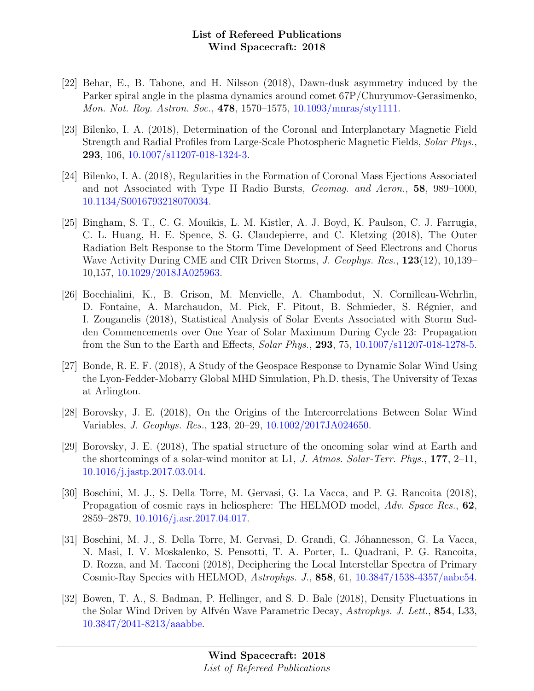- [22] Behar, E., B. Tabone, and H. Nilsson (2018), Dawn-dusk asymmetry induced by the Parker spiral angle in the plasma dynamics around comet 67P/Churyumov-Gerasimenko, Mon. Not. Roy. Astron. Soc., 478, 1570–1575, [10.1093/mnras/sty1111.](http://dx.doi.org/10.1093/mnras/sty1111)
- [23] Bilenko, I. A. (2018), Determination of the Coronal and Interplanetary Magnetic Field Strength and Radial Profiles from Large-Scale Photospheric Magnetic Fields, Solar Phys., 293, 106, [10.1007/s11207-018-1324-3.](http://dx.doi.org/10.1007/s11207-018-1324-3)
- [24] Bilenko, I. A. (2018), Regularities in the Formation of Coronal Mass Ejections Associated and not Associated with Type II Radio Bursts, Geomag. and Aeron., 58, 989–1000, [10.1134/S0016793218070034.](http://dx.doi.org/10.1134/S0016793218070034)
- [25] Bingham, S. T., C. G. Mouikis, L. M. Kistler, A. J. Boyd, K. Paulson, C. J. Farrugia, C. L. Huang, H. E. Spence, S. G. Claudepierre, and C. Kletzing (2018), The Outer Radiation Belt Response to the Storm Time Development of Seed Electrons and Chorus Wave Activity During CME and CIR Driven Storms, J. Geophys. Res., 123(12), 10,139– 10,157, [10.1029/2018JA025963.](http://dx.doi.org/10.1029/2018JA025963)
- [26] Bocchialini, K., B. Grison, M. Menvielle, A. Chambodut, N. Cornilleau-Wehrlin, D. Fontaine, A. Marchaudon, M. Pick, F. Pitout, B. Schmieder, S. Régnier, and I. Zouganelis (2018), Statistical Analysis of Solar Events Associated with Storm Sudden Commencements over One Year of Solar Maximum During Cycle 23: Propagation from the Sun to the Earth and Effects, Solar Phys., 293, 75, [10.1007/s11207-018-1278-5.](http://dx.doi.org/10.1007/s11207-018-1278-5)
- [27] Bonde, R. E. F. (2018), A Study of the Geospace Response to Dynamic Solar Wind Using the Lyon-Fedder-Mobarry Global MHD Simulation, Ph.D. thesis, The University of Texas at Arlington.
- [28] Borovsky, J. E. (2018), On the Origins of the Intercorrelations Between Solar Wind Variables, J. Geophys. Res., 123, 20–29, [10.1002/2017JA024650.](http://dx.doi.org/10.1002/2017JA024650)
- [29] Borovsky, J. E. (2018), The spatial structure of the oncoming solar wind at Earth and the shortcomings of a solar-wind monitor at L1, J. Atmos. Solar-Terr. Phys., 177, 2–11, [10.1016/j.jastp.2017.03.014.](http://dx.doi.org/10.1016/j.jastp.2017.03.014)
- [30] Boschini, M. J., S. Della Torre, M. Gervasi, G. La Vacca, and P. G. Rancoita (2018), Propagation of cosmic rays in heliosphere: The HELMOD model, Adv. Space Res., 62, 2859–2879, [10.1016/j.asr.2017.04.017.](http://dx.doi.org/10.1016/j.asr.2017.04.017)
- [31] Boschini, M. J., S. Della Torre, M. Gervasi, D. Grandi, G. Jóhannesson, G. La Vacca, N. Masi, I. V. Moskalenko, S. Pensotti, T. A. Porter, L. Quadrani, P. G. Rancoita, D. Rozza, and M. Tacconi (2018), Deciphering the Local Interstellar Spectra of Primary Cosmic-Ray Species with HELMOD, Astrophys. J., 858, 61, [10.3847/1538-4357/aabc54.](http://dx.doi.org/10.3847/1538-4357/aabc54)
- [32] Bowen, T. A., S. Badman, P. Hellinger, and S. D. Bale (2018), Density Fluctuations in the Solar Wind Driven by Alfvén Wave Parametric Decay, Astrophys. J. Lett., 854, L33, [10.3847/2041-8213/aaabbe.](http://dx.doi.org/10.3847/2041-8213/aaabbe)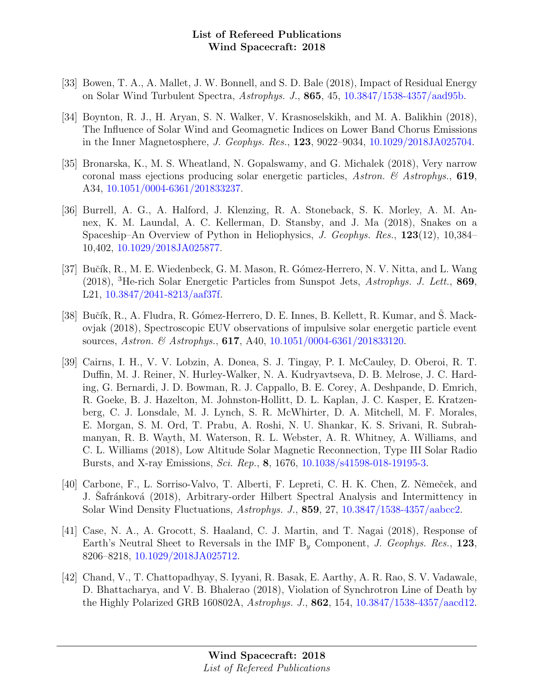- [33] Bowen, T. A., A. Mallet, J. W. Bonnell, and S. D. Bale (2018), Impact of Residual Energy on Solar Wind Turbulent Spectra, Astrophys. J., 865, 45, [10.3847/1538-4357/aad95b.](http://dx.doi.org/10.3847/1538-4357/aad95b)
- [34] Boynton, R. J., H. Aryan, S. N. Walker, V. Krasnoselskikh, and M. A. Balikhin (2018), The Influence of Solar Wind and Geomagnetic Indices on Lower Band Chorus Emissions in the Inner Magnetosphere, J. Geophys. Res., 123, 9022–9034, [10.1029/2018JA025704.](http://dx.doi.org/10.1029/2018JA025704)
- [35] Bronarska, K., M. S. Wheatland, N. Gopalswamy, and G. Michalek (2018), Very narrow coronal mass ejections producing solar energetic particles, Astron.  $\mathcal C$  Astrophys., 619, A34, [10.1051/0004-6361/201833237.](http://dx.doi.org/10.1051/0004-6361/201833237)
- [36] Burrell, A. G., A. Halford, J. Klenzing, R. A. Stoneback, S. K. Morley, A. M. Annex, K. M. Laundal, A. C. Kellerman, D. Stansby, and J. Ma (2018), Snakes on a Spaceship–An Overview of Python in Heliophysics, J. Geophys. Res., 123(12), 10,384– 10,402, [10.1029/2018JA025877.](http://dx.doi.org/10.1029/2018JA025877)
- [37] Bučík, R., M. E. Wiedenbeck, G. M. Mason, R. Gómez-Herrero, N. V. Nitta, and L. Wang (2018), <sup>3</sup>He-rich Solar Energetic Particles from Sunspot Jets, Astrophys. J. Lett., 869, L21, [10.3847/2041-8213/aaf37f.](http://dx.doi.org/10.3847/2041-8213/aaf37f)
- [38] Bučík, R., A. Fludra, R. Gómez-Herrero, D. E. Innes, B. Kellett, R. Kumar, and S. Mackovjak (2018), Spectroscopic EUV observations of impulsive solar energetic particle event sources, Astron. & Astrophys., **617**, A40, [10.1051/0004-6361/201833120.](http://dx.doi.org/10.1051/0004-6361/201833120)
- [39] Cairns, I. H., V. V. Lobzin, A. Donea, S. J. Tingay, P. I. McCauley, D. Oberoi, R. T. Duffin, M. J. Reiner, N. Hurley-Walker, N. A. Kudryavtseva, D. B. Melrose, J. C. Harding, G. Bernardi, J. D. Bowman, R. J. Cappallo, B. E. Corey, A. Deshpande, D. Emrich, R. Goeke, B. J. Hazelton, M. Johnston-Hollitt, D. L. Kaplan, J. C. Kasper, E. Kratzenberg, C. J. Lonsdale, M. J. Lynch, S. R. McWhirter, D. A. Mitchell, M. F. Morales, E. Morgan, S. M. Ord, T. Prabu, A. Roshi, N. U. Shankar, K. S. Srivani, R. Subrahmanyan, R. B. Wayth, M. Waterson, R. L. Webster, A. R. Whitney, A. Williams, and C. L. Williams (2018), Low Altitude Solar Magnetic Reconnection, Type III Solar Radio Bursts, and X-ray Emissions, Sci. Rep., 8, 1676, [10.1038/s41598-018-19195-3.](http://dx.doi.org/10.1038/s41598-018-19195-3)
- [40] Carbone, F., L. Sorriso-Valvo, T. Alberti, F. Lepreti, C. H. K. Chen, Z. Němeček, and J. Safránková (2018), Arbitrary-order Hilbert Spectral Analysis and Intermittency in Solar Wind Density Fluctuations, Astrophys. J., 859, 27, [10.3847/1538-4357/aabcc2.](http://dx.doi.org/10.3847/1538-4357/aabcc2)
- [41] Case, N. A., A. Grocott, S. Haaland, C. J. Martin, and T. Nagai (2018), Response of Earth's Neutral Sheet to Reversals in the IMF  $B<sub>y</sub>$  Component, J. Geophys. Res., 123, 8206–8218, [10.1029/2018JA025712.](http://dx.doi.org/10.1029/2018JA025712)
- [42] Chand, V., T. Chattopadhyay, S. Iyyani, R. Basak, E. Aarthy, A. R. Rao, S. V. Vadawale, D. Bhattacharya, and V. B. Bhalerao (2018), Violation of Synchrotron Line of Death by the Highly Polarized GRB 160802A, Astrophys. J., 862, 154, [10.3847/1538-4357/aacd12.](http://dx.doi.org/10.3847/1538-4357/aacd12)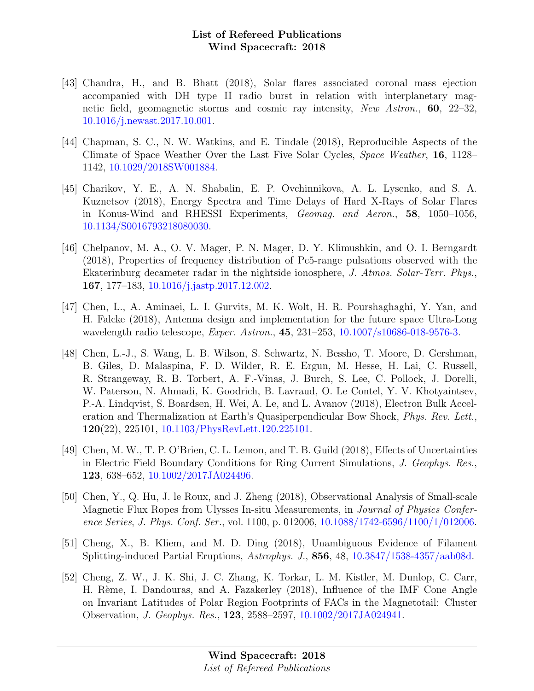- [43] Chandra, H., and B. Bhatt (2018), Solar flares associated coronal mass ejection accompanied with DH type II radio burst in relation with interplanetary magnetic field, geomagnetic storms and cosmic ray intensity, New Astron., 60, 22–32, [10.1016/j.newast.2017.10.001.](http://dx.doi.org/10.1016/j.newast.2017.10.001)
- [44] Chapman, S. C., N. W. Watkins, and E. Tindale (2018), Reproducible Aspects of the Climate of Space Weather Over the Last Five Solar Cycles, Space Weather, 16, 1128– 1142, [10.1029/2018SW001884.](http://dx.doi.org/10.1029/2018SW001884)
- [45] Charikov, Y. E., A. N. Shabalin, E. P. Ovchinnikova, A. L. Lysenko, and S. A. Kuznetsov (2018), Energy Spectra and Time Delays of Hard X-Rays of Solar Flares in Konus-Wind and RHESSI Experiments, Geomag. and Aeron., 58, 1050–1056, [10.1134/S0016793218080030.](http://dx.doi.org/10.1134/S0016793218080030)
- [46] Chelpanov, M. A., O. V. Mager, P. N. Mager, D. Y. Klimushkin, and O. I. Berngardt (2018), Properties of frequency distribution of Pc5-range pulsations observed with the Ekaterinburg decameter radar in the nightside ionosphere, J. Atmos. Solar-Terr. Phys., 167, 177–183, [10.1016/j.jastp.2017.12.002.](http://dx.doi.org/10.1016/j.jastp.2017.12.002)
- [47] Chen, L., A. Aminaei, L. I. Gurvits, M. K. Wolt, H. R. Pourshaghaghi, Y. Yan, and H. Falcke (2018), Antenna design and implementation for the future space Ultra-Long wavelength radio telescope, *Exper. Astron.*, **45**, 231–253, [10.1007/s10686-018-9576-3.](http://dx.doi.org/10.1007/s10686-018-9576-3)
- [48] Chen, L.-J., S. Wang, L. B. Wilson, S. Schwartz, N. Bessho, T. Moore, D. Gershman, B. Giles, D. Malaspina, F. D. Wilder, R. E. Ergun, M. Hesse, H. Lai, C. Russell, R. Strangeway, R. B. Torbert, A. F.-Vinas, J. Burch, S. Lee, C. Pollock, J. Dorelli, W. Paterson, N. Ahmadi, K. Goodrich, B. Lavraud, O. Le Contel, Y. V. Khotyaintsev, P.-A. Lindqvist, S. Boardsen, H. Wei, A. Le, and L. Avanov (2018), Electron Bulk Acceleration and Thermalization at Earth's Quasiperpendicular Bow Shock, Phys. Rev. Lett., 120(22), 225101, [10.1103/PhysRevLett.120.225101.](http://dx.doi.org/10.1103/PhysRevLett.120.225101)
- [49] Chen, M. W., T. P. O'Brien, C. L. Lemon, and T. B. Guild (2018), Effects of Uncertainties in Electric Field Boundary Conditions for Ring Current Simulations, J. Geophys. Res., 123, 638–652, [10.1002/2017JA024496.](http://dx.doi.org/10.1002/2017JA024496)
- [50] Chen, Y., Q. Hu, J. le Roux, and J. Zheng (2018), Observational Analysis of Small-scale Magnetic Flux Ropes from Ulysses In-situ Measurements, in Journal of Physics Confer-ence Series, J. Phys. Conf. Ser., vol. 1100, p. 012006, [10.1088/1742-6596/1100/1/012006.](http://dx.doi.org/10.1088/1742-6596/1100/1/012006)
- [51] Cheng, X., B. Kliem, and M. D. Ding (2018), Unambiguous Evidence of Filament Splitting-induced Partial Eruptions, Astrophys. J., 856, 48, [10.3847/1538-4357/aab08d.](http://dx.doi.org/10.3847/1538-4357/aab08d)
- [52] Cheng, Z. W., J. K. Shi, J. C. Zhang, K. Torkar, L. M. Kistler, M. Dunlop, C. Carr, H. Rème, I. Dandouras, and A. Fazakerley (2018), Influence of the IMF Cone Angle on Invariant Latitudes of Polar Region Footprints of FACs in the Magnetotail: Cluster Observation, J. Geophys. Res., 123, 2588–2597, [10.1002/2017JA024941.](http://dx.doi.org/10.1002/2017JA024941)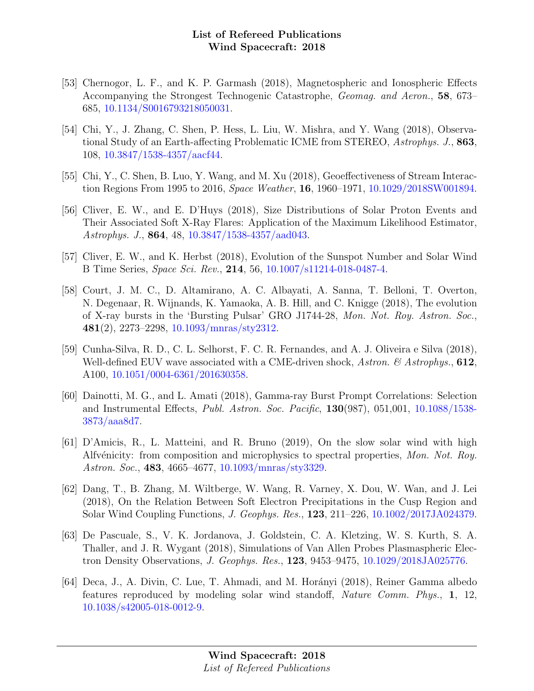- [53] Chernogor, L. F., and K. P. Garmash (2018), Magnetospheric and Ionospheric Effects Accompanying the Strongest Technogenic Catastrophe, Geomag. and Aeron., 58, 673– 685, [10.1134/S0016793218050031.](http://dx.doi.org/10.1134/S0016793218050031)
- [54] Chi, Y., J. Zhang, C. Shen, P. Hess, L. Liu, W. Mishra, and Y. Wang (2018), Observational Study of an Earth-affecting Problematic ICME from STEREO, Astrophys. J., 863, 108, [10.3847/1538-4357/aacf44.](http://dx.doi.org/10.3847/1538-4357/aacf44)
- [55] Chi, Y., C. Shen, B. Luo, Y. Wang, and M. Xu (2018), Geoeffectiveness of Stream Interaction Regions From 1995 to 2016, Space Weather, 16, 1960–1971, [10.1029/2018SW001894.](http://dx.doi.org/10.1029/2018SW001894)
- [56] Cliver, E. W., and E. D'Huys (2018), Size Distributions of Solar Proton Events and Their Associated Soft X-Ray Flares: Application of the Maximum Likelihood Estimator, Astrophys. J., 864, 48, [10.3847/1538-4357/aad043.](http://dx.doi.org/10.3847/1538-4357/aad043)
- [57] Cliver, E. W., and K. Herbst (2018), Evolution of the Sunspot Number and Solar Wind B Time Series, Space Sci. Rev., 214, 56, [10.1007/s11214-018-0487-4.](http://dx.doi.org/10.1007/s11214-018-0487-4)
- [58] Court, J. M. C., D. Altamirano, A. C. Albayati, A. Sanna, T. Belloni, T. Overton, N. Degenaar, R. Wijnands, K. Yamaoka, A. B. Hill, and C. Knigge (2018), The evolution of X-ray bursts in the 'Bursting Pulsar' GRO J1744-28, Mon. Not. Roy. Astron. Soc., 481(2), 2273–2298, [10.1093/mnras/sty2312.](http://dx.doi.org/10.1093/mnras/sty2312)
- [59] Cunha-Silva, R. D., C. L. Selhorst, F. C. R. Fernandes, and A. J. Oliveira e Silva (2018), Well-defined EUV wave associated with a CME-driven shock,  $Astron.$   $\mathcal{C}$  Astrophys., 612, A100, [10.1051/0004-6361/201630358.](http://dx.doi.org/10.1051/0004-6361/201630358)
- [60] Dainotti, M. G., and L. Amati (2018), Gamma-ray Burst Prompt Correlations: Selection and Instrumental Effects, Publ. Astron. Soc. Pacific, 130(987), 051,001, [10.1088/1538-](http://dx.doi.org/10.1088/1538-3873/aaa8d7) [3873/aaa8d7.](http://dx.doi.org/10.1088/1538-3873/aaa8d7)
- [61] D'Amicis, R., L. Matteini, and R. Bruno (2019), On the slow solar wind with high Alfvénicity: from composition and microphysics to spectral properties, Mon. Not. Roy. Astron. Soc., 483, 4665–4677, [10.1093/mnras/sty3329.](http://dx.doi.org/10.1093/mnras/sty3329)
- [62] Dang, T., B. Zhang, M. Wiltberge, W. Wang, R. Varney, X. Dou, W. Wan, and J. Lei (2018), On the Relation Between Soft Electron Precipitations in the Cusp Region and Solar Wind Coupling Functions, J. Geophys. Res., 123, 211–226, [10.1002/2017JA024379.](http://dx.doi.org/10.1002/2017JA024379)
- [63] De Pascuale, S., V. K. Jordanova, J. Goldstein, C. A. Kletzing, W. S. Kurth, S. A. Thaller, and J. R. Wygant (2018), Simulations of Van Allen Probes Plasmaspheric Electron Density Observations, J. Geophys. Res., 123, 9453–9475, [10.1029/2018JA025776.](http://dx.doi.org/10.1029/2018JA025776)
- [64] Deca, J., A. Divin, C. Lue, T. Ahmadi, and M. Horányi (2018), Reiner Gamma albedo features reproduced by modeling solar wind standoff, Nature Comm. Phys., 1, 12, [10.1038/s42005-018-0012-9.](http://dx.doi.org/10.1038/s42005-018-0012-9)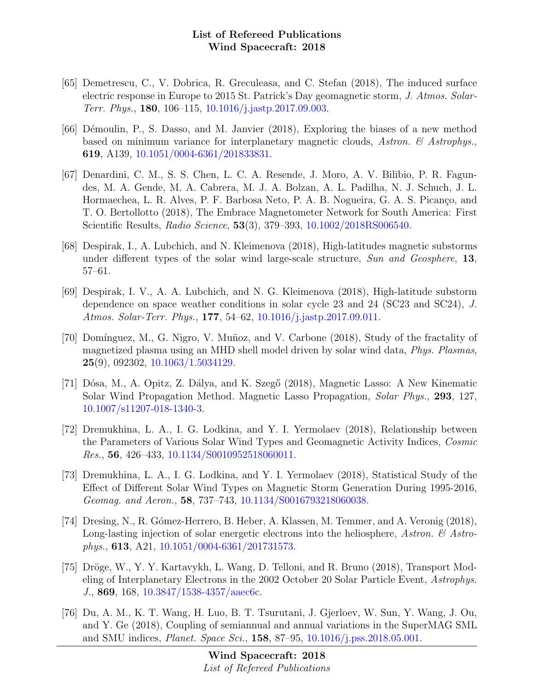- [65] Demetrescu, C., V. Dobrica, R. Greculeasa, and C. Stefan (2018), The induced surface electric response in Europe to 2015 St. Patrick's Day geomagnetic storm, J. Atmos. Solar-Terr. Phys., 180, 106–115, [10.1016/j.jastp.2017.09.003.](http://dx.doi.org/10.1016/j.jastp.2017.09.003)
- [66] Démoulin, P., S. Dasso, and M. Janvier (2018), Exploring the biases of a new method based on minimum variance for interplanetary magnetic clouds, Astron.  $\mathcal{C}$  Astrophys. 619, A139, [10.1051/0004-6361/201833831.](http://dx.doi.org/10.1051/0004-6361/201833831)
- [67] Denardini, C. M., S. S. Chen, L. C. A. Resende, J. Moro, A. V. Bilibio, P. R. Fagundes, M. A. Gende, M. A. Cabrera, M. J. A. Bolzan, A. L. Padilha, N. J. Schuch, J. L. Hormaechea, L. R. Alves, P. F. Barbosa Neto, P. A. B. Nogueira, G. A. S. Picanço, and T. O. Bertollotto (2018), The Embrace Magnetometer Network for South America: First Scientific Results, Radio Science, 53(3), 379–393, [10.1002/2018RS006540.](http://dx.doi.org/10.1002/2018RS006540)
- [68] Despirak, I., A. Lubchich, and N. Kleimenova (2018), High-latitudes magnetic substorms under different types of the solar wind large-scale structure, Sun and Geosphere, 13, 57–61.
- [69] Despirak, I. V., A. A. Lubchich, and N. G. Kleimenova (2018), High-latitude substorm dependence on space weather conditions in solar cycle 23 and 24 (SC23 and SC24), J. Atmos. Solar-Terr. Phys., 177, 54–62, [10.1016/j.jastp.2017.09.011.](http://dx.doi.org/10.1016/j.jastp.2017.09.011)
- [70] Domínguez, M., G. Nigro, V. Muñoz, and V. Carbone (2018), Study of the fractality of magnetized plasma using an MHD shell model driven by solar wind data, Phys. Plasmas, 25(9), 092302, [10.1063/1.5034129.](http://dx.doi.org/10.1063/1.5034129)
- [71] Dósa, M., A. Opitz, Z. Dálya, and K. Szegő (2018), Magnetic Lasso: A New Kinematic Solar Wind Propagation Method. Magnetic Lasso Propagation, Solar Phys., 293, 127, [10.1007/s11207-018-1340-3.](http://dx.doi.org/10.1007/s11207-018-1340-3)
- [72] Dremukhina, L. A., I. G. Lodkina, and Y. I. Yermolaev (2018), Relationship between the Parameters of Various Solar Wind Types and Geomagnetic Activity Indices, Cosmic Res., 56, 426–433, [10.1134/S0010952518060011.](http://dx.doi.org/10.1134/S0010952518060011)
- [73] Dremukhina, L. A., I. G. Lodkina, and Y. I. Yermolaev (2018), Statistical Study of the Effect of Different Solar Wind Types on Magnetic Storm Generation During 1995-2016, Geomag. and Aeron., 58, 737–743, [10.1134/S0016793218060038.](http://dx.doi.org/10.1134/S0016793218060038)
- [74] Dresing, N., R. Gómez-Herrero, B. Heber, A. Klassen, M. Temmer, and A. Veronig (2018), Long-lasting injection of solar energetic electrons into the heliosphere, Astron.  $\mathcal{C}$  Astrophys., 613, A21, [10.1051/0004-6361/201731573.](http://dx.doi.org/10.1051/0004-6361/201731573)
- [75] Dröge, W., Y. Y. Kartavykh, L. Wang, D. Telloni, and R. Bruno (2018), Transport Modeling of Interplanetary Electrons in the 2002 October 20 Solar Particle Event, Astrophys. J., 869, 168, [10.3847/1538-4357/aaec6c.](http://dx.doi.org/10.3847/1538-4357/aaec6c)
- [76] Du, A. M., K. T. Wang, H. Luo, B. T. Tsurutani, J. Gjerloev, W. Sun, Y. Wang, J. Ou, and Y. Ge (2018), Coupling of semiannual and annual variations in the SuperMAG SML and SMU indices, Planet. Space Sci., 158, 87–95, [10.1016/j.pss.2018.05.001.](http://dx.doi.org/10.1016/j.pss.2018.05.001)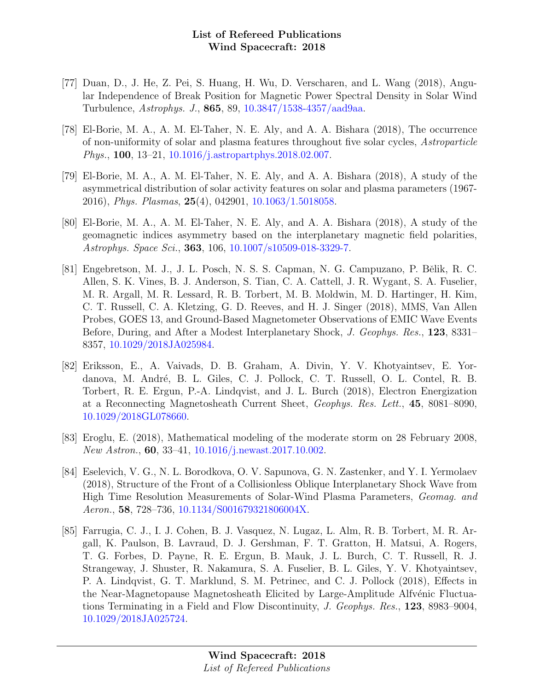- [77] Duan, D., J. He, Z. Pei, S. Huang, H. Wu, D. Verscharen, and L. Wang (2018), Angular Independence of Break Position for Magnetic Power Spectral Density in Solar Wind Turbulence, Astrophys. J., 865, 89, [10.3847/1538-4357/aad9aa.](http://dx.doi.org/10.3847/1538-4357/aad9aa)
- [78] El-Borie, M. A., A. M. El-Taher, N. E. Aly, and A. A. Bishara (2018), The occurrence of non-uniformity of solar and plasma features throughout five solar cycles, Astroparticle Phys., 100, 13–21, [10.1016/j.astropartphys.2018.02.007.](http://dx.doi.org/10.1016/j.astropartphys.2018.02.007)
- [79] El-Borie, M. A., A. M. El-Taher, N. E. Aly, and A. A. Bishara (2018), A study of the asymmetrical distribution of solar activity features on solar and plasma parameters (1967- 2016), Phys. Plasmas, 25(4), 042901, [10.1063/1.5018058.](http://dx.doi.org/10.1063/1.5018058)
- [80] El-Borie, M. A., A. M. El-Taher, N. E. Aly, and A. A. Bishara (2018), A study of the geomagnetic indices asymmetry based on the interplanetary magnetic field polarities, Astrophys. Space Sci., 363, 106, [10.1007/s10509-018-3329-7.](http://dx.doi.org/10.1007/s10509-018-3329-7)
- [81] Engebretson, M. J., J. L. Posch, N. S. S. Capman, N. G. Campuzano, P. Bělik, R. C. Allen, S. K. Vines, B. J. Anderson, S. Tian, C. A. Cattell, J. R. Wygant, S. A. Fuselier, M. R. Argall, M. R. Lessard, R. B. Torbert, M. B. Moldwin, M. D. Hartinger, H. Kim, C. T. Russell, C. A. Kletzing, G. D. Reeves, and H. J. Singer (2018), MMS, Van Allen Probes, GOES 13, and Ground-Based Magnetometer Observations of EMIC Wave Events Before, During, and After a Modest Interplanetary Shock, J. Geophys. Res., 123, 8331– 8357, [10.1029/2018JA025984.](http://dx.doi.org/10.1029/2018JA025984)
- [82] Eriksson, E., A. Vaivads, D. B. Graham, A. Divin, Y. V. Khotyaintsev, E. Yordanova, M. André, B. L. Giles, C. J. Pollock, C. T. Russell, O. L. Contel, R. B. Torbert, R. E. Ergun, P.-A. Lindqvist, and J. L. Burch (2018), Electron Energization at a Reconnecting Magnetosheath Current Sheet, Geophys. Res. Lett., 45, 8081–8090, [10.1029/2018GL078660.](http://dx.doi.org/10.1029/2018GL078660)
- [83] Eroglu, E. (2018), Mathematical modeling of the moderate storm on 28 February 2008, New Astron., 60, 33–41, [10.1016/j.newast.2017.10.002.](http://dx.doi.org/10.1016/j.newast.2017.10.002)
- [84] Eselevich, V. G., N. L. Borodkova, O. V. Sapunova, G. N. Zastenker, and Y. I. Yermolaev (2018), Structure of the Front of a Collisionless Oblique Interplanetary Shock Wave from High Time Resolution Measurements of Solar-Wind Plasma Parameters, Geomag. and Aeron., 58, 728–736, [10.1134/S001679321806004X.](http://dx.doi.org/10.1134/S001679321806004X)
- [85] Farrugia, C. J., I. J. Cohen, B. J. Vasquez, N. Lugaz, L. Alm, R. B. Torbert, M. R. Argall, K. Paulson, B. Lavraud, D. J. Gershman, F. T. Gratton, H. Matsui, A. Rogers, T. G. Forbes, D. Payne, R. E. Ergun, B. Mauk, J. L. Burch, C. T. Russell, R. J. Strangeway, J. Shuster, R. Nakamura, S. A. Fuselier, B. L. Giles, Y. V. Khotyaintsev, P. A. Lindqvist, G. T. Marklund, S. M. Petrinec, and C. J. Pollock (2018), Effects in the Near-Magnetopause Magnetosheath Elicited by Large-Amplitude Alfvénic Fluctuations Terminating in a Field and Flow Discontinuity, J. Geophys. Res., 123, 8983–9004, [10.1029/2018JA025724.](http://dx.doi.org/10.1029/2018JA025724)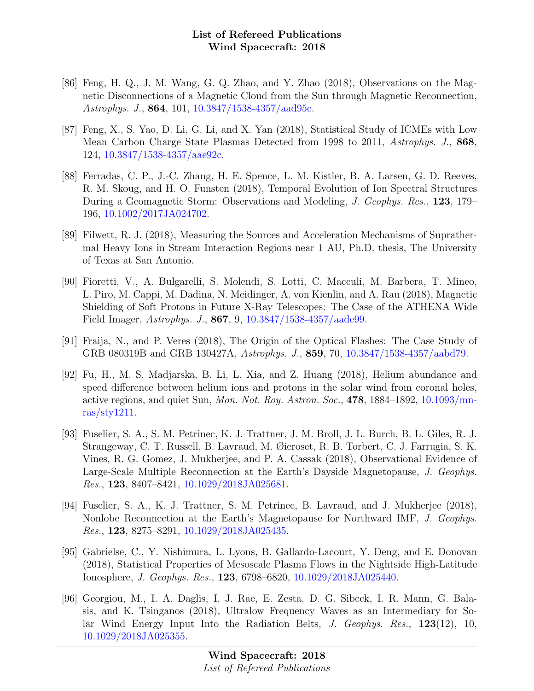- [86] Feng, H. Q., J. M. Wang, G. Q. Zhao, and Y. Zhao (2018), Observations on the Magnetic Disconnections of a Magnetic Cloud from the Sun through Magnetic Reconnection, Astrophys. J., 864, 101, [10.3847/1538-4357/aad95e.](http://dx.doi.org/10.3847/1538-4357/aad95e)
- [87] Feng, X., S. Yao, D. Li, G. Li, and X. Yan (2018), Statistical Study of ICMEs with Low Mean Carbon Charge State Plasmas Detected from 1998 to 2011, Astrophys. J., 868, 124, [10.3847/1538-4357/aae92c.](http://dx.doi.org/10.3847/1538-4357/aae92c)
- [88] Ferradas, C. P., J.-C. Zhang, H. E. Spence, L. M. Kistler, B. A. Larsen, G. D. Reeves, R. M. Skoug, and H. O. Funsten (2018), Temporal Evolution of Ion Spectral Structures During a Geomagnetic Storm: Observations and Modeling, J. Geophys. Res., 123, 179– 196, [10.1002/2017JA024702.](http://dx.doi.org/10.1002/2017JA024702)
- [89] Filwett, R. J. (2018), Measuring the Sources and Acceleration Mechanisms of Suprathermal Heavy Ions in Stream Interaction Regions near 1 AU, Ph.D. thesis, The University of Texas at San Antonio.
- [90] Fioretti, V., A. Bulgarelli, S. Molendi, S. Lotti, C. Macculi, M. Barbera, T. Mineo, L. Piro, M. Cappi, M. Dadina, N. Meidinger, A. von Kienlin, and A. Rau (2018), Magnetic Shielding of Soft Protons in Future X-Ray Telescopes: The Case of the ATHENA Wide Field Imager, Astrophys. J., 867, 9, [10.3847/1538-4357/aade99.](http://dx.doi.org/10.3847/1538-4357/aade99)
- [91] Fraija, N., and P. Veres (2018), The Origin of the Optical Flashes: The Case Study of GRB 080319B and GRB 130427A, Astrophys. J., 859, 70, [10.3847/1538-4357/aabd79.](http://dx.doi.org/10.3847/1538-4357/aabd79)
- [92] Fu, H., M. S. Madjarska, B. Li, L. Xia, and Z. Huang (2018), Helium abundance and speed difference between helium ions and protons in the solar wind from coronal holes, active regions, and quiet Sun, Mon. Not. Roy. Astron. Soc., 478, 1884–1892, [10.1093/mn](http://dx.doi.org/10.1093/mnras/sty1211)[ras/sty1211.](http://dx.doi.org/10.1093/mnras/sty1211)
- [93] Fuselier, S. A., S. M. Petrinec, K. J. Trattner, J. M. Broll, J. L. Burch, B. L. Giles, R. J. Strangeway, C. T. Russell, B. Lavraud, M. Øieroset, R. B. Torbert, C. J. Farrugia, S. K. Vines, R. G. Gomez, J. Mukherjee, and P. A. Cassak (2018), Observational Evidence of Large-Scale Multiple Reconnection at the Earth's Dayside Magnetopause, J. Geophys. Res., 123, 8407–8421, [10.1029/2018JA025681.](http://dx.doi.org/10.1029/2018JA025681)
- [94] Fuselier, S. A., K. J. Trattner, S. M. Petrinec, B. Lavraud, and J. Mukherjee (2018), Nonlobe Reconnection at the Earth's Magnetopause for Northward IMF, J. Geophys. Res., 123, 8275–8291, [10.1029/2018JA025435.](http://dx.doi.org/10.1029/2018JA025435)
- [95] Gabrielse, C., Y. Nishimura, L. Lyons, B. Gallardo-Lacourt, Y. Deng, and E. Donovan (2018), Statistical Properties of Mesoscale Plasma Flows in the Nightside High-Latitude Ionosphere, J. Geophys. Res., 123, 6798–6820, [10.1029/2018JA025440.](http://dx.doi.org/10.1029/2018JA025440)
- [96] Georgiou, M., I. A. Daglis, I. J. Rae, E. Zesta, D. G. Sibeck, I. R. Mann, G. Balasis, and K. Tsinganos (2018), Ultralow Frequency Waves as an Intermediary for Solar Wind Energy Input Into the Radiation Belts, J. Geophys. Res., 123(12), 10, [10.1029/2018JA025355.](http://dx.doi.org/10.1029/2018JA025355)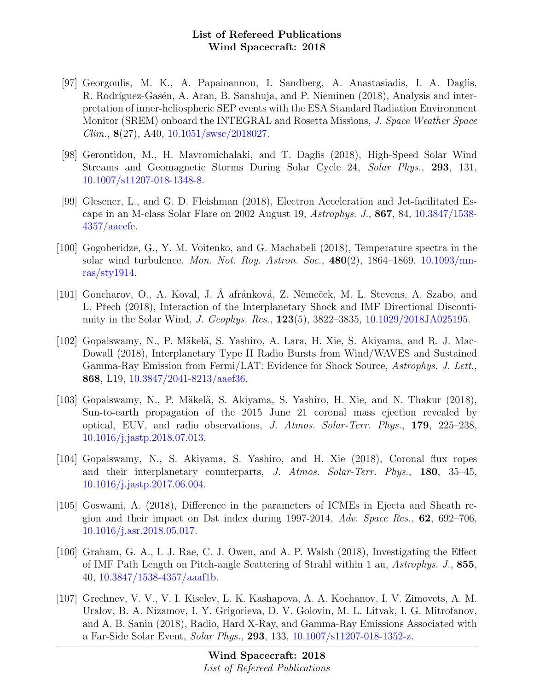- [97] Georgoulis, M. K., A. Papaioannou, I. Sandberg, A. Anastasiadis, I. A. Daglis, R. Rodríguez-Gasén, A. Aran, B. Sanahuja, and P. Nieminen (2018), Analysis and interpretation of inner-heliospheric SEP events with the ESA Standard Radiation Environment Monitor (SREM) onboard the INTEGRAL and Rosetta Missions, J. Space Weather Space  $Clim., 8(27), A40, 10.1051/swsc/2018027.$  $Clim., 8(27), A40, 10.1051/swsc/2018027.$
- [98] Gerontidou, M., H. Mavromichalaki, and T. Daglis (2018), High-Speed Solar Wind Streams and Geomagnetic Storms During Solar Cycle 24, Solar Phys., 293, 131, [10.1007/s11207-018-1348-8.](http://dx.doi.org/10.1007/s11207-018-1348-8)
- [99] Glesener, L., and G. D. Fleishman (2018), Electron Acceleration and Jet-facilitated Escape in an M-class Solar Flare on 2002 August 19, Astrophys. J., 867, 84, [10.3847/1538-](http://dx.doi.org/10.3847/1538-4357/aacefe) [4357/aacefe.](http://dx.doi.org/10.3847/1538-4357/aacefe)
- [100] Gogoberidze, G., Y. M. Voitenko, and G. Machabeli (2018), Temperature spectra in the solar wind turbulence, Mon. Not. Roy. Astron. Soc.,  $480(2)$ ,  $1864-1869$ ,  $10.1093/\text{mn}$ [ras/sty1914.](http://dx.doi.org/10.1093/mnras/sty1914)
- [101] Goncharov, O., A. Koval, J. Å afránková, Z. Němeček, M. L. Stevens, A. Szabo, and L. Přech (2018), Interaction of the Interplanetary Shock and IMF Directional Discontinuity in the Solar Wind, J. Geophys. Res., 123(5), 3822–3835, [10.1029/2018JA025195.](http://dx.doi.org/10.1029/2018JA025195)
- [102] Gopalswamy, N., P. Mäkelä, S. Yashiro, A. Lara, H. Xie, S. Akiyama, and R. J. Mac-Dowall (2018), Interplanetary Type II Radio Bursts from Wind/WAVES and Sustained Gamma-Ray Emission from Fermi/LAT: Evidence for Shock Source, Astrophys. J. Lett., 868, L19, [10.3847/2041-8213/aaef36.](http://dx.doi.org/10.3847/2041-8213/aaef36)
- [103] Gopalswamy, N., P. Mäkelä, S. Akiyama, S. Yashiro, H. Xie, and N. Thakur (2018), Sun-to-earth propagation of the 2015 June 21 coronal mass ejection revealed by optical, EUV, and radio observations, J. Atmos. Solar-Terr. Phys., 179, 225–238, [10.1016/j.jastp.2018.07.013.](http://dx.doi.org/10.1016/j.jastp.2018.07.013)
- [104] Gopalswamy, N., S. Akiyama, S. Yashiro, and H. Xie (2018), Coronal flux ropes and their interplanetary counterparts, J. Atmos. Solar-Terr. Phys., 180, 35–45, [10.1016/j.jastp.2017.06.004.](http://dx.doi.org/10.1016/j.jastp.2017.06.004)
- [105] Goswami, A. (2018), Difference in the parameters of ICMEs in Ejecta and Sheath region and their impact on Dst index during  $1997-2014$ ,  $Adv. Space Res., 62, 692-706$ , [10.1016/j.asr.2018.05.017.](http://dx.doi.org/10.1016/j.asr.2018.05.017)
- [106] Graham, G. A., I. J. Rae, C. J. Owen, and A. P. Walsh (2018), Investigating the Effect of IMF Path Length on Pitch-angle Scattering of Strahl within 1 au, Astrophys. J., 855, 40, [10.3847/1538-4357/aaaf1b.](http://dx.doi.org/10.3847/1538-4357/aaaf1b)
- [107] Grechnev, V. V., V. I. Kiselev, L. K. Kashapova, A. A. Kochanov, I. V. Zimovets, A. M. Uralov, B. A. Nizamov, I. Y. Grigorieva, D. V. Golovin, M. L. Litvak, I. G. Mitrofanov, and A. B. Sanin (2018), Radio, Hard X-Ray, and Gamma-Ray Emissions Associated with a Far-Side Solar Event, Solar Phys., 293, 133, [10.1007/s11207-018-1352-z.](http://dx.doi.org/10.1007/s11207-018-1352-z)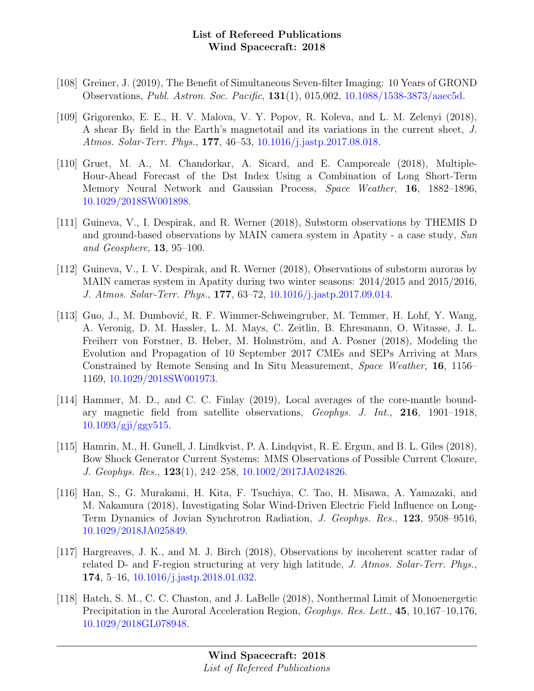- [108] Greiner, J. (2019), The Benefit of Simultaneous Seven-filter Imaging: 10 Years of GROND Observations, Publ. Astron. Soc. Pacific, 131(1), 015,002, [10.1088/1538-3873/aaec5d.](http://dx.doi.org/10.1088/1538-3873/aaec5d)
- [109] Grigorenko, E. E., H. V. Malova, V. Y. Popov, R. Koleva, and L. M. Zelenyi (2018), A shear  $B<sub>Y</sub>$  field in the Earth's magnetotail and its variations in the current sheet, J. Atmos. Solar-Terr. Phys., 177, 46–53, [10.1016/j.jastp.2017.08.018.](http://dx.doi.org/10.1016/j.jastp.2017.08.018)
- [110] Gruet, M. A., M. Chandorkar, A. Sicard, and E. Camporeale (2018), Multiple-Hour-Ahead Forecast of the Dst Index Using a Combination of Long Short-Term Memory Neural Network and Gaussian Process, Space Weather, 16, 1882–1896, [10.1029/2018SW001898.](http://dx.doi.org/10.1029/2018SW001898)
- [111] Guineva, V., I. Despirak, and R. Werner (2018), Substorm observations by THEMIS D and ground-based observations by MAIN camera system in Apatity - a case study, Sun and Geosphere, 13, 95–100.
- [112] Guineva, V., I. V. Despirak, and R. Werner (2018), Observations of substorm auroras by MAIN cameras system in Apatity during two winter seasons: 2014/2015 and 2015/2016, J. Atmos. Solar-Terr. Phys., 177, 63–72, [10.1016/j.jastp.2017.09.014.](http://dx.doi.org/10.1016/j.jastp.2017.09.014)
- [113] Guo, J., M. Dumbović, R. F. Wimmer-Schweingruber, M. Temmer, H. Lohf, Y. Wang, A. Veronig, D. M. Hassler, L. M. Mays, C. Zeitlin, B. Ehresmann, O. Witasse, J. L. Freiherr von Forstner, B. Heber, M. Holmström, and A. Posner (2018), Modeling the Evolution and Propagation of 10 September 2017 CMEs and SEPs Arriving at Mars Constrained by Remote Sensing and In Situ Measurement, Space Weather, 16, 1156– 1169, [10.1029/2018SW001973.](http://dx.doi.org/10.1029/2018SW001973)
- [114] Hammer, M. D., and C. C. Finlay (2019), Local averages of the core-mantle boundary magnetic field from satellite observations, Geophys. J. Int., 216, 1901–1918, [10.1093/gji/ggy515.](http://dx.doi.org/10.1093/gji/ggy515)
- [115] Hamrin, M., H. Gunell, J. Lindkvist, P. A. Lindqvist, R. E. Ergun, and B. L. Giles (2018), Bow Shock Generator Current Systems: MMS Observations of Possible Current Closure, J. Geophys. Res., 123(1), 242–258, [10.1002/2017JA024826.](http://dx.doi.org/10.1002/2017JA024826)
- [116] Han, S., G. Murakami, H. Kita, F. Tsuchiya, C. Tao, H. Misawa, A. Yamazaki, and M. Nakamura (2018), Investigating Solar Wind-Driven Electric Field Influence on Long-Term Dynamics of Jovian Synchrotron Radiation, J. Geophys. Res., 123, 9508–9516, [10.1029/2018JA025849.](http://dx.doi.org/10.1029/2018JA025849)
- [117] Hargreaves, J. K., and M. J. Birch (2018), Observations by incoherent scatter radar of related D- and F-region structuring at very high latitude, J. Atmos. Solar-Terr. Phys., 174, 5–16, [10.1016/j.jastp.2018.01.032.](http://dx.doi.org/10.1016/j.jastp.2018.01.032)
- [118] Hatch, S. M., C. C. Chaston, and J. LaBelle (2018), Nonthermal Limit of Monoenergetic Precipitation in the Auroral Acceleration Region, Geophys. Res. Lett., 45, 10,167–10,176, [10.1029/2018GL078948.](http://dx.doi.org/10.1029/2018GL078948)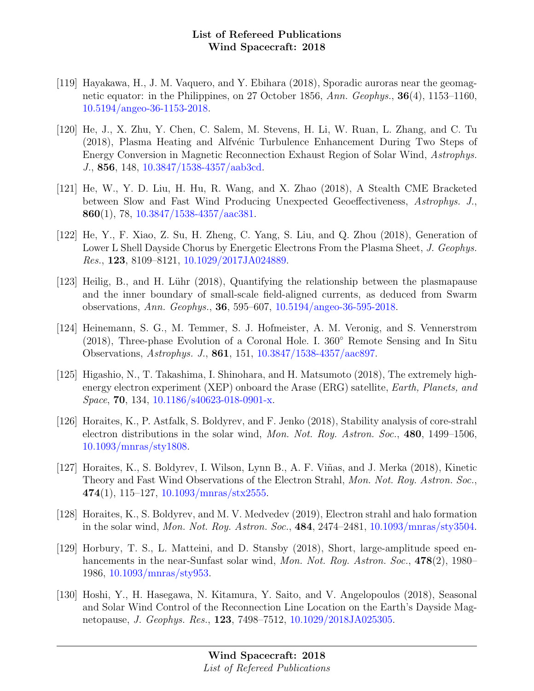- [119] Hayakawa, H., J. M. Vaquero, and Y. Ebihara (2018), Sporadic auroras near the geomagnetic equator: in the Philippines, on 27 October 1856, Ann. Geophys., 36(4), 1153–1160, [10.5194/angeo-36-1153-2018.](http://dx.doi.org/10.5194/angeo-36-1153-2018)
- [120] He, J., X. Zhu, Y. Chen, C. Salem, M. Stevens, H. Li, W. Ruan, L. Zhang, and C. Tu (2018), Plasma Heating and Alfvénic Turbulence Enhancement During Two Steps of Energy Conversion in Magnetic Reconnection Exhaust Region of Solar Wind, Astrophys. J., 856, 148, [10.3847/1538-4357/aab3cd.](http://dx.doi.org/10.3847/1538-4357/aab3cd)
- [121] He, W., Y. D. Liu, H. Hu, R. Wang, and X. Zhao (2018), A Stealth CME Bracketed between Slow and Fast Wind Producing Unexpected Geoeffectiveness, Astrophys. J., 860(1), 78,  $10.3847/1538-4357/aac381$ .
- [122] He, Y., F. Xiao, Z. Su, H. Zheng, C. Yang, S. Liu, and Q. Zhou (2018), Generation of Lower L Shell Dayside Chorus by Energetic Electrons From the Plasma Sheet, J. Geophys. Res., 123, 8109–8121, [10.1029/2017JA024889.](http://dx.doi.org/10.1029/2017JA024889)
- [123] Heilig, B., and H. Lühr (2018), Quantifying the relationship between the plasmapause and the inner boundary of small-scale field-aligned currents, as deduced from Swarm observations, Ann. Geophys., 36, 595–607, [10.5194/angeo-36-595-2018.](http://dx.doi.org/10.5194/angeo-36-595-2018)
- [124] Heinemann, S. G., M. Temmer, S. J. Hofmeister, A. M. Veronig, and S. Vennerstrøm (2018), Three-phase Evolution of a Coronal Hole. I. 360◦ Remote Sensing and In Situ Observations, Astrophys. J., 861, 151, [10.3847/1538-4357/aac897.](http://dx.doi.org/10.3847/1538-4357/aac897)
- [125] Higashio, N., T. Takashima, I. Shinohara, and H. Matsumoto (2018), The extremely highenergy electron experiment (XEP) onboard the Arase (ERG) satellite, Earth, Planets, and Space, 70, 134, [10.1186/s40623-018-0901-x.](http://dx.doi.org/10.1186/s40623-018-0901-x)
- [126] Horaites, K., P. Astfalk, S. Boldyrev, and F. Jenko (2018), Stability analysis of core-strahl electron distributions in the solar wind, Mon. Not. Roy. Astron. Soc., 480, 1499–1506, [10.1093/mnras/sty1808.](http://dx.doi.org/10.1093/mnras/sty1808)
- [127] Horaites, K., S. Boldyrev, I. Wilson, Lynn B., A. F. Viñas, and J. Merka (2018), Kinetic Theory and Fast Wind Observations of the Electron Strahl, Mon. Not. Roy. Astron. Soc.,  $474(1)$ , 115–127, [10.1093/mnras/stx2555.](http://dx.doi.org/10.1093/mnras/stx2555)
- [128] Horaites, K., S. Boldyrev, and M. V. Medvedev (2019), Electron strahl and halo formation in the solar wind, Mon. Not. Roy. Astron. Soc., 484, 2474–2481, [10.1093/mnras/sty3504.](http://dx.doi.org/10.1093/mnras/sty3504)
- [129] Horbury, T. S., L. Matteini, and D. Stansby (2018), Short, large-amplitude speed enhancements in the near-Sunfast solar wind, Mon. Not. Roy. Astron. Soc., 478(2), 1980– 1986, [10.1093/mnras/sty953.](http://dx.doi.org/10.1093/mnras/sty953)
- [130] Hoshi, Y., H. Hasegawa, N. Kitamura, Y. Saito, and V. Angelopoulos (2018), Seasonal and Solar Wind Control of the Reconnection Line Location on the Earth's Dayside Magnetopause, J. Geophys. Res., 123, 7498–7512, [10.1029/2018JA025305.](http://dx.doi.org/10.1029/2018JA025305)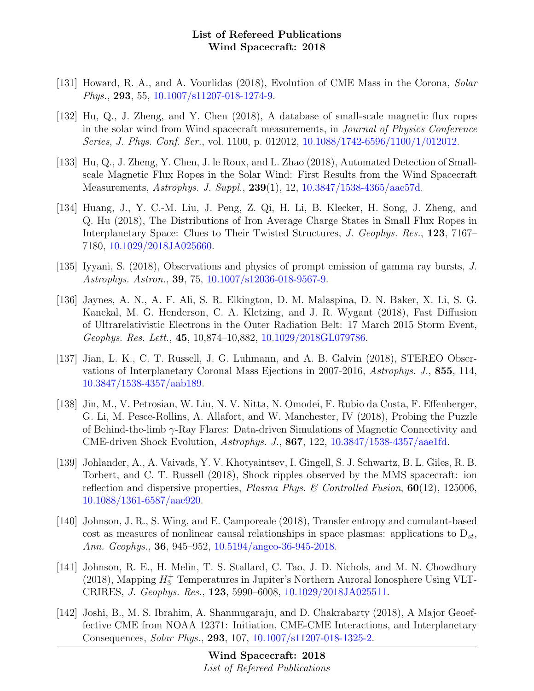- [131] Howard, R. A., and A. Vourlidas (2018), Evolution of CME Mass in the Corona, Solar Phys., 293, 55, [10.1007/s11207-018-1274-9.](http://dx.doi.org/10.1007/s11207-018-1274-9)
- [132] Hu, Q., J. Zheng, and Y. Chen (2018), A database of small-scale magnetic flux ropes in the solar wind from Wind spacecraft measurements, in Journal of Physics Conference Series, J. Phys. Conf. Ser., vol. 1100, p. 012012, [10.1088/1742-6596/1100/1/012012.](http://dx.doi.org/10.1088/1742-6596/1100/1/012012)
- [133] Hu, Q., J. Zheng, Y. Chen, J. le Roux, and L. Zhao (2018), Automated Detection of Smallscale Magnetic Flux Ropes in the Solar Wind: First Results from the Wind Spacecraft Measurements, Astrophys. J. Suppl., 239(1), 12, [10.3847/1538-4365/aae57d.](http://dx.doi.org/10.3847/1538-4365/aae57d)
- [134] Huang, J., Y. C.-M. Liu, J. Peng, Z. Qi, H. Li, B. Klecker, H. Song, J. Zheng, and Q. Hu (2018), The Distributions of Iron Average Charge States in Small Flux Ropes in Interplanetary Space: Clues to Their Twisted Structures, J. Geophys. Res., 123, 7167– 7180, [10.1029/2018JA025660.](http://dx.doi.org/10.1029/2018JA025660)
- [135] Iyyani, S. (2018), Observations and physics of prompt emission of gamma ray bursts, J. Astrophys. Astron., 39, 75, [10.1007/s12036-018-9567-9.](http://dx.doi.org/10.1007/s12036-018-9567-9)
- [136] Jaynes, A. N., A. F. Ali, S. R. Elkington, D. M. Malaspina, D. N. Baker, X. Li, S. G. Kanekal, M. G. Henderson, C. A. Kletzing, and J. R. Wygant (2018), Fast Diffusion of Ultrarelativistic Electrons in the Outer Radiation Belt: 17 March 2015 Storm Event, Geophys. Res. Lett., 45, 10,874–10,882, [10.1029/2018GL079786.](http://dx.doi.org/10.1029/2018GL079786)
- [137] Jian, L. K., C. T. Russell, J. G. Luhmann, and A. B. Galvin (2018), STEREO Observations of Interplanetary Coronal Mass Ejections in 2007-2016, Astrophys. J., 855, 114, [10.3847/1538-4357/aab189.](http://dx.doi.org/10.3847/1538-4357/aab189)
- [138] Jin, M., V. Petrosian, W. Liu, N. V. Nitta, N. Omodei, F. Rubio da Costa, F. Effenberger, G. Li, M. Pesce-Rollins, A. Allafort, and W. Manchester, IV (2018), Probing the Puzzle of Behind-the-limb γ-Ray Flares: Data-driven Simulations of Magnetic Connectivity and CME-driven Shock Evolution, Astrophys. J., 867, 122, [10.3847/1538-4357/aae1fd.](http://dx.doi.org/10.3847/1538-4357/aae1fd)
- [139] Johlander, A., A. Vaivads, Y. V. Khotyaintsev, I. Gingell, S. J. Schwartz, B. L. Giles, R. B. Torbert, and C. T. Russell (2018), Shock ripples observed by the MMS spacecraft: ion reflection and dispersive properties, *Plasma Phys.* & Controlled Fusion,  $60(12)$ , 125006, [10.1088/1361-6587/aae920.](http://dx.doi.org/10.1088/1361-6587/aae920)
- [140] Johnson, J. R., S. Wing, and E. Camporeale (2018), Transfer entropy and cumulant-based cost as measures of nonlinear causal relationships in space plasmas: applications to  $D_{st}$ , Ann. Geophys., 36, 945–952, [10.5194/angeo-36-945-2018.](http://dx.doi.org/10.5194/angeo-36-945-2018)
- [141] Johnson, R. E., H. Melin, T. S. Stallard, C. Tao, J. D. Nichols, and M. N. Chowdhury (2018), Mapping  $H_3^+$  Temperatures in Jupiter's Northern Auroral Ionosphere Using VLT-CRIRES, J. Geophys. Res., 123, 5990–6008, [10.1029/2018JA025511.](http://dx.doi.org/10.1029/2018JA025511)
- [142] Joshi, B., M. S. Ibrahim, A. Shanmugaraju, and D. Chakrabarty (2018), A Major Geoeffective CME from NOAA 12371: Initiation, CME-CME Interactions, and Interplanetary Consequences, Solar Phys., 293, 107, [10.1007/s11207-018-1325-2.](http://dx.doi.org/10.1007/s11207-018-1325-2)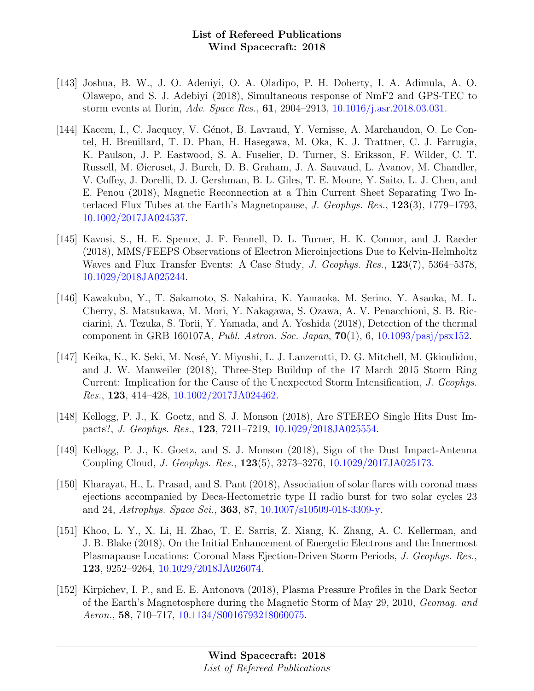- [143] Joshua, B. W., J. O. Adeniyi, O. A. Oladipo, P. H. Doherty, I. A. Adimula, A. O. Olawepo, and S. J. Adebiyi (2018), Simultaneous response of NmF2 and GPS-TEC to storm events at Ilorin, Adv. Space Res., 61, 2904–2913, [10.1016/j.asr.2018.03.031.](http://dx.doi.org/10.1016/j.asr.2018.03.031)
- [144] Kacem, I., C. Jacquey, V. Génot, B. Lavraud, Y. Vernisse, A. Marchaudon, O. Le Contel, H. Breuillard, T. D. Phan, H. Hasegawa, M. Oka, K. J. Trattner, C. J. Farrugia, K. Paulson, J. P. Eastwood, S. A. Fuselier, D. Turner, S. Eriksson, F. Wilder, C. T. Russell, M. Øieroset, J. Burch, D. B. Graham, J. A. Sauvaud, L. Avanov, M. Chandler, V. Coffey, J. Dorelli, D. J. Gershman, B. L. Giles, T. E. Moore, Y. Saito, L. J. Chen, and E. Penou (2018), Magnetic Reconnection at a Thin Current Sheet Separating Two Interlaced Flux Tubes at the Earth's Magnetopause, J. Geophys. Res., 123(3), 1779–1793, [10.1002/2017JA024537.](http://dx.doi.org/10.1002/2017JA024537)
- [145] Kavosi, S., H. E. Spence, J. F. Fennell, D. L. Turner, H. K. Connor, and J. Raeder (2018), MMS/FEEPS Observations of Electron Microinjections Due to Kelvin-Helmholtz Waves and Flux Transfer Events: A Case Study, J. Geophys. Res., 123(7), 5364–5378, [10.1029/2018JA025244.](http://dx.doi.org/10.1029/2018JA025244)
- [146] Kawakubo, Y., T. Sakamoto, S. Nakahira, K. Yamaoka, M. Serino, Y. Asaoka, M. L. Cherry, S. Matsukawa, M. Mori, Y. Nakagawa, S. Ozawa, A. V. Penacchioni, S. B. Ricciarini, A. Tezuka, S. Torii, Y. Yamada, and A. Yoshida (2018), Detection of the thermal component in GRB 160107A, *Publ. Astron. Soc. Japan*,  $70(1)$ , 6, 10.1093/pasi/psx152.
- [147] Keika, K., K. Seki, M. Nosé, Y. Miyoshi, L. J. Lanzerotti, D. G. Mitchell, M. Gkioulidou, and J. W. Manweiler (2018), Three-Step Buildup of the 17 March 2015 Storm Ring Current: Implication for the Cause of the Unexpected Storm Intensification, J. Geophys. Res., 123, 414–428, [10.1002/2017JA024462.](http://dx.doi.org/10.1002/2017JA024462)
- [148] Kellogg, P. J., K. Goetz, and S. J. Monson (2018), Are STEREO Single Hits Dust Impacts?, J. Geophys. Res., 123, 7211–7219, [10.1029/2018JA025554.](http://dx.doi.org/10.1029/2018JA025554)
- [149] Kellogg, P. J., K. Goetz, and S. J. Monson (2018), Sign of the Dust Impact-Antenna Coupling Cloud, J. Geophys. Res., 123(5), 3273–3276, [10.1029/2017JA025173.](http://dx.doi.org/10.1029/2017JA025173)
- [150] Kharayat, H., L. Prasad, and S. Pant (2018), Association of solar flares with coronal mass ejections accompanied by Deca-Hectometric type II radio burst for two solar cycles 23 and 24, Astrophys. Space Sci., 363, 87, [10.1007/s10509-018-3309-y.](http://dx.doi.org/10.1007/s10509-018-3309-y)
- [151] Khoo, L. Y., X. Li, H. Zhao, T. E. Sarris, Z. Xiang, K. Zhang, A. C. Kellerman, and J. B. Blake (2018), On the Initial Enhancement of Energetic Electrons and the Innermost Plasmapause Locations: Coronal Mass Ejection-Driven Storm Periods, J. Geophys. Res., 123, 9252–9264, [10.1029/2018JA026074.](http://dx.doi.org/10.1029/2018JA026074)
- [152] Kirpichev, I. P., and E. E. Antonova (2018), Plasma Pressure Profiles in the Dark Sector of the Earth's Magnetosphere during the Magnetic Storm of May 29, 2010, Geomag. and Aeron., 58, 710–717, [10.1134/S0016793218060075.](http://dx.doi.org/10.1134/S0016793218060075)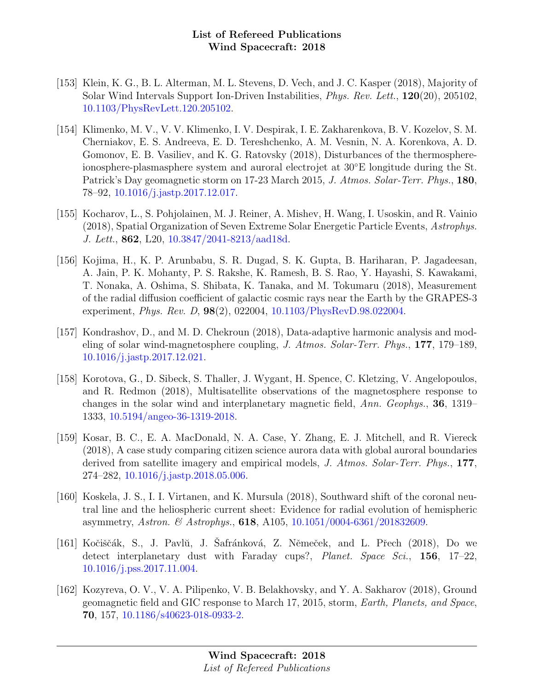- [153] Klein, K. G., B. L. Alterman, M. L. Stevens, D. Vech, and J. C. Kasper (2018), Majority of Solar Wind Intervals Support Ion-Driven Instabilities, Phys. Rev. Lett., 120(20), 205102, [10.1103/PhysRevLett.120.205102.](http://dx.doi.org/10.1103/PhysRevLett.120.205102)
- [154] Klimenko, M. V., V. V. Klimenko, I. V. Despirak, I. E. Zakharenkova, B. V. Kozelov, S. M. Cherniakov, E. S. Andreeva, E. D. Tereshchenko, A. M. Vesnin, N. A. Korenkova, A. D. Gomonov, E. B. Vasiliev, and K. G. Ratovsky (2018), Disturbances of the thermosphereionosphere-plasmasphere system and auroral electrojet at 30◦E longitude during the St. Patrick's Day geomagnetic storm on 17-23 March 2015, J. Atmos. Solar-Terr. Phys., 180, 78–92, [10.1016/j.jastp.2017.12.017.](http://dx.doi.org/10.1016/j.jastp.2017.12.017)
- [155] Kocharov, L., S. Pohjolainen, M. J. Reiner, A. Mishev, H. Wang, I. Usoskin, and R. Vainio (2018), Spatial Organization of Seven Extreme Solar Energetic Particle Events, Astrophys. J. Lett., 862, L20, [10.3847/2041-8213/aad18d.](http://dx.doi.org/10.3847/2041-8213/aad18d)
- [156] Kojima, H., K. P. Arunbabu, S. R. Dugad, S. K. Gupta, B. Hariharan, P. Jagadeesan, A. Jain, P. K. Mohanty, P. S. Rakshe, K. Ramesh, B. S. Rao, Y. Hayashi, S. Kawakami, T. Nonaka, A. Oshima, S. Shibata, K. Tanaka, and M. Tokumaru (2018), Measurement of the radial diffusion coefficient of galactic cosmic rays near the Earth by the GRAPES-3 experiment, *Phys. Rev. D*, **98**(2), 022004, [10.1103/PhysRevD.98.022004.](http://dx.doi.org/10.1103/PhysRevD.98.022004)
- [157] Kondrashov, D., and M. D. Chekroun (2018), Data-adaptive harmonic analysis and modeling of solar wind-magnetosphere coupling, J. Atmos. Solar-Terr. Phys., 177, 179–189, [10.1016/j.jastp.2017.12.021.](http://dx.doi.org/10.1016/j.jastp.2017.12.021)
- [158] Korotova, G., D. Sibeck, S. Thaller, J. Wygant, H. Spence, C. Kletzing, V. Angelopoulos, and R. Redmon (2018), Multisatellite observations of the magnetosphere response to changes in the solar wind and interplanetary magnetic field, Ann. Geophys., 36, 1319– 1333, [10.5194/angeo-36-1319-2018.](http://dx.doi.org/10.5194/angeo-36-1319-2018)
- [159] Kosar, B. C., E. A. MacDonald, N. A. Case, Y. Zhang, E. J. Mitchell, and R. Viereck (2018), A case study comparing citizen science aurora data with global auroral boundaries derived from satellite imagery and empirical models, J. Atmos. Solar-Terr. Phys., 177, 274–282, [10.1016/j.jastp.2018.05.006.](http://dx.doi.org/10.1016/j.jastp.2018.05.006)
- [160] Koskela, J. S., I. I. Virtanen, and K. Mursula (2018), Southward shift of the coronal neutral line and the heliospheric current sheet: Evidence for radial evolution of hemispheric asymmetry, Astron. & Astrophys., 618, A105, [10.1051/0004-6361/201832609.](http://dx.doi.org/10.1051/0004-6361/201832609)
- [161] Kočiščák, S., J. Pavlŭ, J. Šafránková, Z. Němeček, and L. Přech (2018), Do we detect interplanetary dust with Faraday cups?, Planet. Space Sci., 156, 17-22, [10.1016/j.pss.2017.11.004.](http://dx.doi.org/10.1016/j.pss.2017.11.004)
- [162] Kozyreva, O. V., V. A. Pilipenko, V. B. Belakhovsky, and Y. A. Sakharov (2018), Ground geomagnetic field and GIC response to March 17, 2015, storm, Earth, Planets, and Space, 70, 157, [10.1186/s40623-018-0933-2.](http://dx.doi.org/10.1186/s40623-018-0933-2)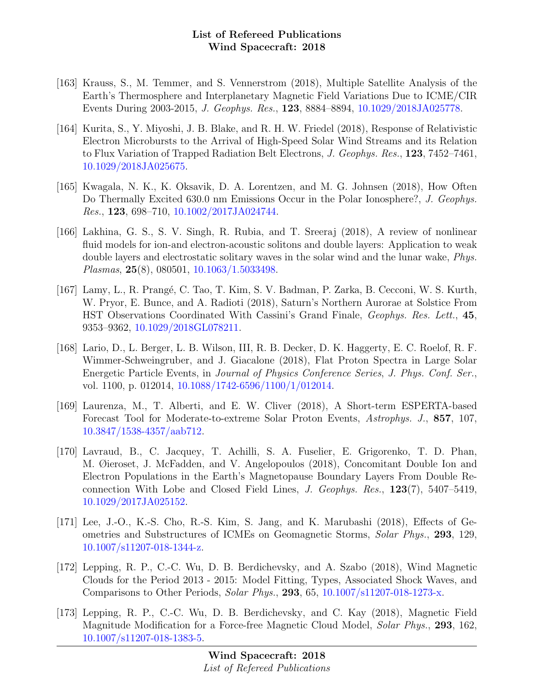- [163] Krauss, S., M. Temmer, and S. Vennerstrom (2018), Multiple Satellite Analysis of the Earth's Thermosphere and Interplanetary Magnetic Field Variations Due to ICME/CIR Events During 2003-2015, J. Geophys. Res., 123, 8884–8894, [10.1029/2018JA025778.](http://dx.doi.org/10.1029/2018JA025778)
- [164] Kurita, S., Y. Miyoshi, J. B. Blake, and R. H. W. Friedel (2018), Response of Relativistic Electron Microbursts to the Arrival of High-Speed Solar Wind Streams and its Relation to Flux Variation of Trapped Radiation Belt Electrons, J. Geophys. Res., 123, 7452–7461, [10.1029/2018JA025675.](http://dx.doi.org/10.1029/2018JA025675)
- [165] Kwagala, N. K., K. Oksavik, D. A. Lorentzen, and M. G. Johnsen (2018), How Often Do Thermally Excited 630.0 nm Emissions Occur in the Polar Ionosphere?, J. Geophys. Res., 123, 698–710, [10.1002/2017JA024744.](http://dx.doi.org/10.1002/2017JA024744)
- [166] Lakhina, G. S., S. V. Singh, R. Rubia, and T. Sreeraj (2018), A review of nonlinear fluid models for ion-and electron-acoustic solitons and double layers: Application to weak double layers and electrostatic solitary waves in the solar wind and the lunar wake, Phys. Plasmas, 25(8), 080501, [10.1063/1.5033498.](http://dx.doi.org/10.1063/1.5033498)
- [167] Lamy, L., R. Prangé, C. Tao, T. Kim, S. V. Badman, P. Zarka, B. Cecconi, W. S. Kurth, W. Pryor, E. Bunce, and A. Radioti (2018), Saturn's Northern Aurorae at Solstice From HST Observations Coordinated With Cassini's Grand Finale, Geophys. Res. Lett., 45, 9353–9362, [10.1029/2018GL078211.](http://dx.doi.org/10.1029/2018GL078211)
- [168] Lario, D., L. Berger, L. B. Wilson, III, R. B. Decker, D. K. Haggerty, E. C. Roelof, R. F. Wimmer-Schweingruber, and J. Giacalone (2018), Flat Proton Spectra in Large Solar Energetic Particle Events, in Journal of Physics Conference Series, J. Phys. Conf. Ser., vol. 1100, p. 012014, [10.1088/1742-6596/1100/1/012014.](http://dx.doi.org/10.1088/1742-6596/1100/1/012014)
- [169] Laurenza, M., T. Alberti, and E. W. Cliver (2018), A Short-term ESPERTA-based Forecast Tool for Moderate-to-extreme Solar Proton Events, Astrophys. J., 857, 107, [10.3847/1538-4357/aab712.](http://dx.doi.org/10.3847/1538-4357/aab712)
- [170] Lavraud, B., C. Jacquey, T. Achilli, S. A. Fuselier, E. Grigorenko, T. D. Phan, M. Øieroset, J. McFadden, and V. Angelopoulos (2018), Concomitant Double Ion and Electron Populations in the Earth's Magnetopause Boundary Layers From Double Reconnection With Lobe and Closed Field Lines, J. Geophys. Res., 123(7), 5407–5419, [10.1029/2017JA025152.](http://dx.doi.org/10.1029/2017JA025152)
- [171] Lee, J.-O., K.-S. Cho, R.-S. Kim, S. Jang, and K. Marubashi (2018), Effects of Geometries and Substructures of ICMEs on Geomagnetic Storms, Solar Phys., 293, 129, [10.1007/s11207-018-1344-z.](http://dx.doi.org/10.1007/s11207-018-1344-z)
- [172] Lepping, R. P., C.-C. Wu, D. B. Berdichevsky, and A. Szabo (2018), Wind Magnetic Clouds for the Period 2013 - 2015: Model Fitting, Types, Associated Shock Waves, and Comparisons to Other Periods, Solar Phys., 293, 65, [10.1007/s11207-018-1273-x.](http://dx.doi.org/10.1007/s11207-018-1273-x)
- [173] Lepping, R. P., C.-C. Wu, D. B. Berdichevsky, and C. Kay (2018), Magnetic Field Magnitude Modification for a Force-free Magnetic Cloud Model, Solar Phys., 293, 162, [10.1007/s11207-018-1383-5.](http://dx.doi.org/10.1007/s11207-018-1383-5)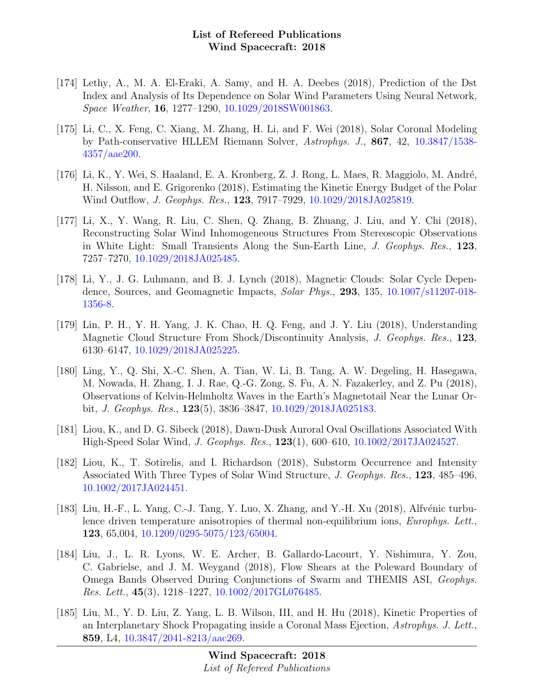- [174] Lethy, A., M. A. El-Eraki, A. Samy, and H. A. Deebes (2018), Prediction of the Dst Index and Analysis of Its Dependence on Solar Wind Parameters Using Neural Network, Space Weather, 16, 1277–1290, [10.1029/2018SW001863.](http://dx.doi.org/10.1029/2018SW001863)
- [175] Li, C., X. Feng, C. Xiang, M. Zhang, H. Li, and F. Wei (2018), Solar Coronal Modeling by Path-conservative HLLEM Riemann Solver, Astrophys. J., 867, 42, [10.3847/1538-](http://dx.doi.org/10.3847/1538-4357/aae200) [4357/aae200.](http://dx.doi.org/10.3847/1538-4357/aae200)
- [176] Li, K., Y. Wei, S. Haaland, E. A. Kronberg, Z. J. Rong, L. Maes, R. Maggiolo, M. André, H. Nilsson, and E. Grigorenko (2018), Estimating the Kinetic Energy Budget of the Polar Wind Outflow, *J. Geophys. Res.*, **123**, 7917–7929, [10.1029/2018JA025819.](http://dx.doi.org/10.1029/2018JA025819)
- [177] Li, X., Y. Wang, R. Liu, C. Shen, Q. Zhang, B. Zhuang, J. Liu, and Y. Chi (2018), Reconstructing Solar Wind Inhomogeneous Structures From Stereoscopic Observations in White Light: Small Transients Along the Sun-Earth Line, J. Geophys. Res., 123, 7257–7270, [10.1029/2018JA025485.](http://dx.doi.org/10.1029/2018JA025485)
- [178] Li, Y., J. G. Luhmann, and B. J. Lynch (2018), Magnetic Clouds: Solar Cycle Dependence, Sources, and Geomagnetic Impacts, Solar Phys., 293, 135, [10.1007/s11207-018-](http://dx.doi.org/10.1007/s11207-018-1356-8) [1356-8.](http://dx.doi.org/10.1007/s11207-018-1356-8)
- [179] Lin, P. H., Y. H. Yang, J. K. Chao, H. Q. Feng, and J. Y. Liu (2018), Understanding Magnetic Cloud Structure From Shock/Discontinuity Analysis, J. Geophys. Res., 123, 6130–6147, [10.1029/2018JA025225.](http://dx.doi.org/10.1029/2018JA025225)
- [180] Ling, Y., Q. Shi, X.-C. Shen, A. Tian, W. Li, B. Tang, A. W. Degeling, H. Hasegawa, M. Nowada, H. Zhang, I. J. Rae, Q.-G. Zong, S. Fu, A. N. Fazakerley, and Z. Pu (2018), Observations of Kelvin-Helmholtz Waves in the Earth's Magnetotail Near the Lunar Orbit, J. Geophys. Res., 123(5), 3836–3847, [10.1029/2018JA025183.](http://dx.doi.org/10.1029/2018JA025183)
- [181] Liou, K., and D. G. Sibeck (2018), Dawn-Dusk Auroral Oval Oscillations Associated With High-Speed Solar Wind, J. Geophys. Res., 123(1), 600–610, [10.1002/2017JA024527.](http://dx.doi.org/10.1002/2017JA024527)
- [182] Liou, K., T. Sotirelis, and I. Richardson (2018), Substorm Occurrence and Intensity Associated With Three Types of Solar Wind Structure, J. Geophys. Res., 123, 485–496, [10.1002/2017JA024451.](http://dx.doi.org/10.1002/2017JA024451)
- [183] Liu, H.-F., L. Yang, C.-J. Tang, Y. Luo, X. Zhang, and Y.-H. Xu (2018), Alfvénic turbulence driven temperature anisotropies of thermal non-equilibrium ions, Europhys. Lett., 123, 65,004, [10.1209/0295-5075/123/65004.](http://dx.doi.org/10.1209/0295-5075/123/65004)
- [184] Liu, J., L. R. Lyons, W. E. Archer, B. Gallardo-Lacourt, Y. Nishimura, Y. Zou, C. Gabrielse, and J. M. Weygand (2018), Flow Shears at the Poleward Boundary of Omega Bands Observed During Conjunctions of Swarm and THEMIS ASI, Geophys. Res. Lett.,  $45(3)$ ,  $1218-1227$ ,  $10.1002/2017 \text{GL}076485$ .
- [185] Liu, M., Y. D. Liu, Z. Yang, L. B. Wilson, III, and H. Hu (2018), Kinetic Properties of an Interplanetary Shock Propagating inside a Coronal Mass Ejection, Astrophys. J. Lett., 859, L4, [10.3847/2041-8213/aac269.](http://dx.doi.org/10.3847/2041-8213/aac269)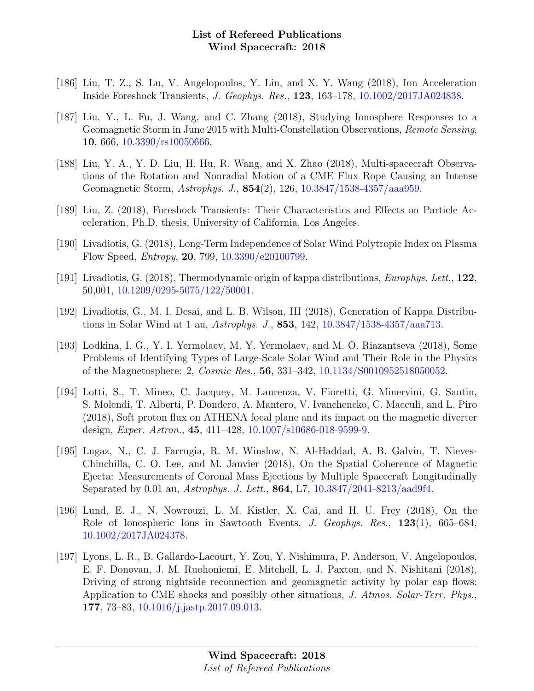- [186] Liu, T. Z., S. Lu, V. Angelopoulos, Y. Lin, and X. Y. Wang (2018), Ion Acceleration Inside Foreshock Transients, J. Geophys. Res., 123, 163–178, [10.1002/2017JA024838.](http://dx.doi.org/10.1002/2017JA024838)
- [187] Liu, Y., L. Fu, J. Wang, and C. Zhang (2018), Studying Ionosphere Responses to a Geomagnetic Storm in June 2015 with Multi-Constellation Observations, Remote Sensing, 10, 666, [10.3390/rs10050666.](http://dx.doi.org/10.3390/rs10050666)
- [188] Liu, Y. A., Y. D. Liu, H. Hu, R. Wang, and X. Zhao (2018), Multi-spacecraft Observations of the Rotation and Nonradial Motion of a CME Flux Rope Causing an Intense Geomagnetic Storm, Astrophys. J., 854(2), 126, [10.3847/1538-4357/aaa959.](http://dx.doi.org/10.3847/1538-4357/aaa959)
- [189] Liu, Z. (2018), Foreshock Transients: Their Characteristics and Effects on Particle Acceleration, Ph.D. thesis, University of California, Los Angeles.
- [190] Livadiotis, G. (2018), Long-Term Independence of Solar Wind Polytropic Index on Plasma Flow Speed, Entropy, 20, 799, [10.3390/e20100799.](http://dx.doi.org/10.3390/e20100799)
- [191] Livadiotis, G. (2018), Thermodynamic origin of kappa distributions, *Europhys. Lett.*,  $122$ , 50,001, [10.1209/0295-5075/122/50001.](http://dx.doi.org/10.1209/0295-5075/122/50001)
- [192] Livadiotis, G., M. I. Desai, and L. B. Wilson, III (2018), Generation of Kappa Distributions in Solar Wind at 1 au, Astrophys. J., 853, 142, [10.3847/1538-4357/aaa713.](http://dx.doi.org/10.3847/1538-4357/aaa713)
- [193] Lodkina, I. G., Y. I. Yermolaev, M. Y. Yermolaev, and M. O. Riazantseva (2018), Some Problems of Identifying Types of Large-Scale Solar Wind and Their Role in the Physics of the Magnetosphere: 2, Cosmic Res., 56, 331–342, [10.1134/S0010952518050052.](http://dx.doi.org/10.1134/S0010952518050052)
- [194] Lotti, S., T. Mineo, C. Jacquey, M. Laurenza, V. Fioretti, G. Minervini, G. Santin, S. Molendi, T. Alberti, P. Dondero, A. Mantero, V. Ivanchencko, C. Macculi, and L. Piro (2018), Soft proton flux on ATHENA focal plane and its impact on the magnetic diverter design, Exper. Astron., 45, 411–428, [10.1007/s10686-018-9599-9.](http://dx.doi.org/10.1007/s10686-018-9599-9)
- [195] Lugaz, N., C. J. Farrugia, R. M. Winslow, N. Al-Haddad, A. B. Galvin, T. Nieves-Chinchilla, C. O. Lee, and M. Janvier (2018), On the Spatial Coherence of Magnetic Ejecta: Measurements of Coronal Mass Ejections by Multiple Spacecraft Longitudinally Separated by 0.01 au, Astrophys. J. Lett., 864, L7, [10.3847/2041-8213/aad9f4.](http://dx.doi.org/10.3847/2041-8213/aad9f4)
- [196] Lund, E. J., N. Nowrouzi, L. M. Kistler, X. Cai, and H. U. Frey (2018), On the Role of Ionospheric Ions in Sawtooth Events, J. Geophys. Res., 123(1), 665–684, [10.1002/2017JA024378.](http://dx.doi.org/10.1002/2017JA024378)
- [197] Lyons, L. R., B. Gallardo-Lacourt, Y. Zou, Y. Nishimura, P. Anderson, V. Angelopoulos, E. F. Donovan, J. M. Ruohoniemi, E. Mitchell, L. J. Paxton, and N. Nishitani (2018), Driving of strong nightside reconnection and geomagnetic activity by polar cap flows: Application to CME shocks and possibly other situations, J. Atmos. Solar-Terr. Phys., 177, 73–83, [10.1016/j.jastp.2017.09.013.](http://dx.doi.org/10.1016/j.jastp.2017.09.013)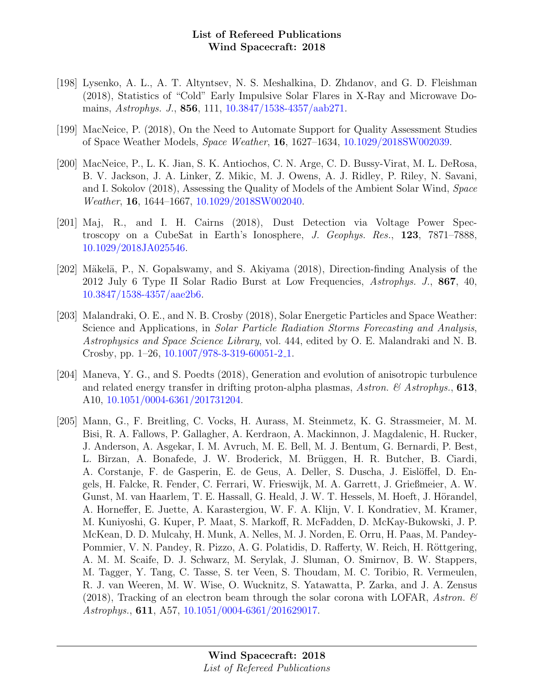- [198] Lysenko, A. L., A. T. Altyntsev, N. S. Meshalkina, D. Zhdanov, and G. D. Fleishman (2018), Statistics of "Cold" Early Impulsive Solar Flares in X-Ray and Microwave Domains, Astrophys. J., 856, 111, [10.3847/1538-4357/aab271.](http://dx.doi.org/10.3847/1538-4357/aab271)
- [199] MacNeice, P. (2018), On the Need to Automate Support for Quality Assessment Studies of Space Weather Models, Space Weather, 16, 1627–1634, [10.1029/2018SW002039.](http://dx.doi.org/10.1029/2018SW002039)
- [200] MacNeice, P., L. K. Jian, S. K. Antiochos, C. N. Arge, C. D. Bussy-Virat, M. L. DeRosa, B. V. Jackson, J. A. Linker, Z. Mikic, M. J. Owens, A. J. Ridley, P. Riley, N. Savani, and I. Sokolov (2018), Assessing the Quality of Models of the Ambient Solar Wind, Space Weather, 16, 1644–1667, [10.1029/2018SW002040.](http://dx.doi.org/10.1029/2018SW002040)
- [201] Maj, R., and I. H. Cairns (2018), Dust Detection via Voltage Power Spectroscopy on a CubeSat in Earth's Ionosphere, J. Geophys. Res., 123, 7871–7888, [10.1029/2018JA025546.](http://dx.doi.org/10.1029/2018JA025546)
- [202] Mäkelä, P., N. Gopalswamy, and S. Akiyama (2018), Direction-finding Analysis of the 2012 July 6 Type II Solar Radio Burst at Low Frequencies, Astrophys. J., 867, 40, [10.3847/1538-4357/aae2b6.](http://dx.doi.org/10.3847/1538-4357/aae2b6)
- [203] Malandraki, O. E., and N. B. Crosby (2018), Solar Energetic Particles and Space Weather: Science and Applications, in Solar Particle Radiation Storms Forecasting and Analysis, Astrophysics and Space Science Library, vol. 444, edited by O. E. Malandraki and N. B. Crosby, pp. 1–26, [10.1007/978-3-319-60051-2](http://dx.doi.org/10.1007/978-3-319-60051-2_1) 1.
- [204] Maneva, Y. G., and S. Poedts (2018), Generation and evolution of anisotropic turbulence and related energy transfer in drifting proton-alpha plasmas, Astron.  $\mathcal B$  Astrophys., 613, A10, [10.1051/0004-6361/201731204.](http://dx.doi.org/10.1051/0004-6361/201731204)
- [205] Mann, G., F. Breitling, C. Vocks, H. Aurass, M. Steinmetz, K. G. Strassmeier, M. M. Bisi, R. A. Fallows, P. Gallagher, A. Kerdraon, A. Mackinnon, J. Magdalenic, H. Rucker, J. Anderson, A. Asgekar, I. M. Avruch, M. E. Bell, M. J. Bentum, G. Bernardi, P. Best, L. Bîrzan, A. Bonafede, J. W. Broderick, M. Brüggen, H. R. Butcher, B. Ciardi, A. Corstanje, F. de Gasperin, E. de Geus, A. Deller, S. Duscha, J. Eislöffel, D. Engels, H. Falcke, R. Fender, C. Ferrari, W. Frieswijk, M. A. Garrett, J. Grießmeier, A. W. Gunst, M. van Haarlem, T. E. Hassall, G. Heald, J. W. T. Hessels, M. Hoeft, J. Hörandel, A. Horneffer, E. Juette, A. Karastergiou, W. F. A. Klijn, V. I. Kondratiev, M. Kramer, M. Kuniyoshi, G. Kuper, P. Maat, S. Markoff, R. McFadden, D. McKay-Bukowski, J. P. McKean, D. D. Mulcahy, H. Munk, A. Nelles, M. J. Norden, E. Orru, H. Paas, M. Pandey-Pommier, V. N. Pandey, R. Pizzo, A. G. Polatidis, D. Rafferty, W. Reich, H. Röttgering, A. M. M. Scaife, D. J. Schwarz, M. Serylak, J. Sluman, O. Smirnov, B. W. Stappers, M. Tagger, Y. Tang, C. Tasse, S. ter Veen, S. Thoudam, M. C. Toribio, R. Vermeulen, R. J. van Weeren, M. W. Wise, O. Wucknitz, S. Yatawatta, P. Zarka, and J. A. Zensus (2018), Tracking of an electron beam through the solar corona with LOFAR, Astron.  $\mathscr{C}$ Astrophys., 611, A57, [10.1051/0004-6361/201629017.](http://dx.doi.org/10.1051/0004-6361/201629017)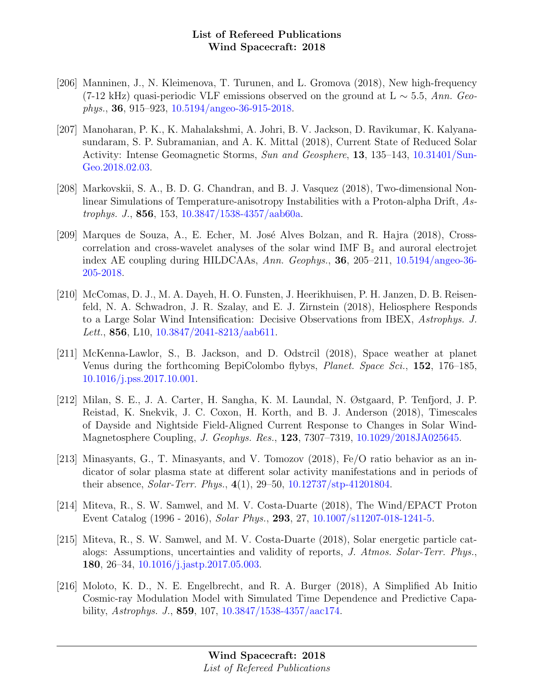- [206] Manninen, J., N. Kleimenova, T. Turunen, and L. Gromova (2018), New high-frequency (7-12 kHz) quasi-periodic VLF emissions observed on the ground at L  $\sim$  5.5, Ann. Geophys., 36, 915–923, [10.5194/angeo-36-915-2018.](http://dx.doi.org/10.5194/angeo-36-915-2018)
- [207] Manoharan, P. K., K. Mahalakshmi, A. Johri, B. V. Jackson, D. Ravikumar, K. Kalyanasundaram, S. P. Subramanian, and A. K. Mittal (2018), Current State of Reduced Solar Activity: Intense Geomagnetic Storms, Sun and Geosphere, 13, 135–143, [10.31401/Sun-](http://dx.doi.org/10.31401/SunGeo.2018.02.03)[Geo.2018.02.03.](http://dx.doi.org/10.31401/SunGeo.2018.02.03)
- [208] Markovskii, S. A., B. D. G. Chandran, and B. J. Vasquez (2018), Two-dimensional Nonlinear Simulations of Temperature-anisotropy Instabilities with a Proton-alpha Drift, Astrophys. J., 856, 153, [10.3847/1538-4357/aab60a.](http://dx.doi.org/10.3847/1538-4357/aab60a)
- [209] Marques de Souza, A., E. Echer, M. José Alves Bolzan, and R. Hajra (2018), Crosscorrelation and cross-wavelet analyses of the solar wind IMF  $B<sub>z</sub>$  and auroral electrojet index AE coupling during HILDCAAs, Ann. Geophys., 36, 205–211, [10.5194/angeo-36-](http://dx.doi.org/10.5194/angeo-36-205-2018) [205-2018.](http://dx.doi.org/10.5194/angeo-36-205-2018)
- [210] McComas, D. J., M. A. Dayeh, H. O. Funsten, J. Heerikhuisen, P. H. Janzen, D. B. Reisenfeld, N. A. Schwadron, J. R. Szalay, and E. J. Zirnstein (2018), Heliosphere Responds to a Large Solar Wind Intensification: Decisive Observations from IBEX, Astrophys. J. Lett., 856, L10,  $10.3847/2041-8213/aab611$ .
- [211] McKenna-Lawlor, S., B. Jackson, and D. Odstrcil (2018), Space weather at planet Venus during the forthcoming BepiColombo flybys, Planet. Space Sci., 152, 176–185, [10.1016/j.pss.2017.10.001.](http://dx.doi.org/10.1016/j.pss.2017.10.001)
- [212] Milan, S. E., J. A. Carter, H. Sangha, K. M. Laundal, N. Østgaard, P. Tenfjord, J. P. Reistad, K. Snekvik, J. C. Coxon, H. Korth, and B. J. Anderson (2018), Timescales of Dayside and Nightside Field-Aligned Current Response to Changes in Solar Wind-Magnetosphere Coupling, J. Geophys. Res., 123, 7307–7319, [10.1029/2018JA025645.](http://dx.doi.org/10.1029/2018JA025645)
- [213] Minasyants, G., T. Minasyants, and V. Tomozov (2018), Fe/O ratio behavior as an indicator of solar plasma state at different solar activity manifestations and in periods of their absence, Solar-Terr. Phys., 4(1), 29–50, [10.12737/stp-41201804.](http://dx.doi.org/10.12737/stp-41201804)
- [214] Miteva, R., S. W. Samwel, and M. V. Costa-Duarte (2018), The Wind/EPACT Proton Event Catalog (1996 - 2016), Solar Phys., 293, 27, [10.1007/s11207-018-1241-5.](http://dx.doi.org/10.1007/s11207-018-1241-5)
- [215] Miteva, R., S. W. Samwel, and M. V. Costa-Duarte (2018), Solar energetic particle catalogs: Assumptions, uncertainties and validity of reports, J. Atmos. Solar-Terr. Phys., 180, 26–34, [10.1016/j.jastp.2017.05.003.](http://dx.doi.org/10.1016/j.jastp.2017.05.003)
- [216] Moloto, K. D., N. E. Engelbrecht, and R. A. Burger (2018), A Simplified Ab Initio Cosmic-ray Modulation Model with Simulated Time Dependence and Predictive Capability, Astrophys. J., 859, 107, [10.3847/1538-4357/aac174.](http://dx.doi.org/10.3847/1538-4357/aac174)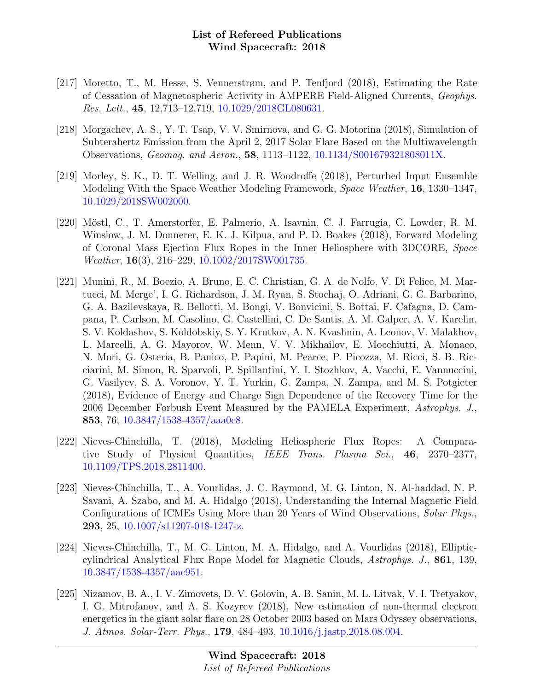- [217] Moretto, T., M. Hesse, S. Vennerstrøm, and P. Tenfjord (2018), Estimating the Rate of Cessation of Magnetospheric Activity in AMPERE Field-Aligned Currents, Geophys. Res. Lett., 45, 12,713–12,719, [10.1029/2018GL080631.](http://dx.doi.org/10.1029/2018GL080631)
- [218] Morgachev, A. S., Y. T. Tsap, V. V. Smirnova, and G. G. Motorina (2018), Simulation of Subterahertz Emission from the April 2, 2017 Solar Flare Based on the Multiwavelength Observations, Geomag. and Aeron., 58, 1113–1122, [10.1134/S001679321808011X.](http://dx.doi.org/10.1134/S001679321808011X)
- [219] Morley, S. K., D. T. Welling, and J. R. Woodroffe (2018), Perturbed Input Ensemble Modeling With the Space Weather Modeling Framework, Space Weather, 16, 1330–1347, [10.1029/2018SW002000.](http://dx.doi.org/10.1029/2018SW002000)
- [220] Möstl, C., T. Amerstorfer, E. Palmerio, A. Isavnin, C. J. Farrugia, C. Lowder, R. M. Winslow, J. M. Donnerer, E. K. J. Kilpua, and P. D. Boakes (2018), Forward Modeling of Coronal Mass Ejection Flux Ropes in the Inner Heliosphere with 3DCORE, Space Weather, 16(3), 216–229, [10.1002/2017SW001735.](http://dx.doi.org/10.1002/2017SW001735)
- [221] Munini, R., M. Boezio, A. Bruno, E. C. Christian, G. A. de Nolfo, V. Di Felice, M. Martucci, M. Merge', I. G. Richardson, J. M. Ryan, S. Stochaj, O. Adriani, G. C. Barbarino, G. A. Bazilevskaya, R. Bellotti, M. Bongi, V. Bonvicini, S. Bottai, F. Cafagna, D. Campana, P. Carlson, M. Casolino, G. Castellini, C. De Santis, A. M. Galper, A. V. Karelin, S. V. Koldashov, S. Koldobskiy, S. Y. Krutkov, A. N. Kvashnin, A. Leonov, V. Malakhov, L. Marcelli, A. G. Mayorov, W. Menn, V. V. Mikhailov, E. Mocchiutti, A. Monaco, N. Mori, G. Osteria, B. Panico, P. Papini, M. Pearce, P. Picozza, M. Ricci, S. B. Ricciarini, M. Simon, R. Sparvoli, P. Spillantini, Y. I. Stozhkov, A. Vacchi, E. Vannuccini, G. Vasilyev, S. A. Voronov, Y. T. Yurkin, G. Zampa, N. Zampa, and M. S. Potgieter (2018), Evidence of Energy and Charge Sign Dependence of the Recovery Time for the 2006 December Forbush Event Measured by the PAMELA Experiment, Astrophys. J., 853, 76, [10.3847/1538-4357/aaa0c8.](http://dx.doi.org/10.3847/1538-4357/aaa0c8)
- [222] Nieves-Chinchilla, T. (2018), Modeling Heliospheric Flux Ropes: A Comparative Study of Physical Quantities, IEEE Trans. Plasma Sci., 46, 2370–2377, [10.1109/TPS.2018.2811400.](http://dx.doi.org/10.1109/TPS.2018.2811400)
- [223] Nieves-Chinchilla, T., A. Vourlidas, J. C. Raymond, M. G. Linton, N. Al-haddad, N. P. Savani, A. Szabo, and M. A. Hidalgo (2018), Understanding the Internal Magnetic Field Configurations of ICMEs Using More than 20 Years of Wind Observations, Solar Phys., 293, 25, [10.1007/s11207-018-1247-z.](http://dx.doi.org/10.1007/s11207-018-1247-z)
- [224] Nieves-Chinchilla, T., M. G. Linton, M. A. Hidalgo, and A. Vourlidas (2018), Ellipticcylindrical Analytical Flux Rope Model for Magnetic Clouds, Astrophys. J., 861, 139, [10.3847/1538-4357/aac951.](http://dx.doi.org/10.3847/1538-4357/aac951)
- [225] Nizamov, B. A., I. V. Zimovets, D. V. Golovin, A. B. Sanin, M. L. Litvak, V. I. Tretyakov, I. G. Mitrofanov, and A. S. Kozyrev (2018), New estimation of non-thermal electron energetics in the giant solar flare on 28 October 2003 based on Mars Odyssey observations, J. Atmos. Solar-Terr. Phys., 179, 484–493, [10.1016/j.jastp.2018.08.004.](http://dx.doi.org/10.1016/j.jastp.2018.08.004)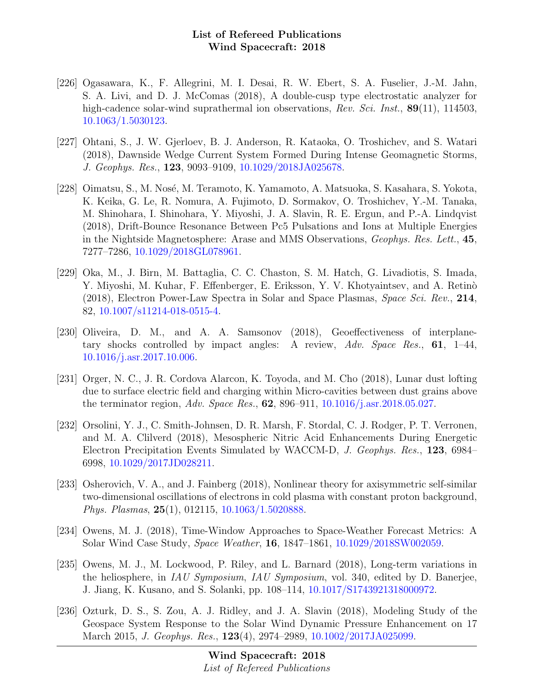- [226] Ogasawara, K., F. Allegrini, M. I. Desai, R. W. Ebert, S. A. Fuselier, J.-M. Jahn, S. A. Livi, and D. J. McComas (2018), A double-cusp type electrostatic analyzer for high-cadence solar-wind suprathermal ion observations, Rev. Sci. Inst., 89(11), 114503, [10.1063/1.5030123.](http://dx.doi.org/10.1063/1.5030123)
- [227] Ohtani, S., J. W. Gjerloev, B. J. Anderson, R. Kataoka, O. Troshichev, and S. Watari (2018), Dawnside Wedge Current System Formed During Intense Geomagnetic Storms, J. Geophys. Res., 123, 9093–9109, [10.1029/2018JA025678.](http://dx.doi.org/10.1029/2018JA025678)
- [228] Oimatsu, S., M. Nosé, M. Teramoto, K. Yamamoto, A. Matsuoka, S. Kasahara, S. Yokota, K. Keika, G. Le, R. Nomura, A. Fujimoto, D. Sormakov, O. Troshichev, Y.-M. Tanaka, M. Shinohara, I. Shinohara, Y. Miyoshi, J. A. Slavin, R. E. Ergun, and P.-A. Lindqvist (2018), Drift-Bounce Resonance Between Pc5 Pulsations and Ions at Multiple Energies in the Nightside Magnetosphere: Arase and MMS Observations, Geophys. Res. Lett., 45, 7277–7286, [10.1029/2018GL078961.](http://dx.doi.org/10.1029/2018GL078961)
- [229] Oka, M., J. Birn, M. Battaglia, C. C. Chaston, S. M. Hatch, G. Livadiotis, S. Imada, Y. Miyoshi, M. Kuhar, F. Effenberger, E. Eriksson, Y. V. Khotyaintsev, and A. Retinò (2018), Electron Power-Law Spectra in Solar and Space Plasmas, Space Sci. Rev., 214, 82, [10.1007/s11214-018-0515-4.](http://dx.doi.org/10.1007/s11214-018-0515-4)
- [230] Oliveira, D. M., and A. A. Samsonov (2018), Geoeffectiveness of interplanetary shocks controlled by impact angles: A review, Adv. Space Res., 61, 1–44, [10.1016/j.asr.2017.10.006.](http://dx.doi.org/10.1016/j.asr.2017.10.006)
- [231] Orger, N. C., J. R. Cordova Alarcon, K. Toyoda, and M. Cho (2018), Lunar dust lofting due to surface electric field and charging within Micro-cavities between dust grains above the terminator region, Adv. Space Res., 62, 896–911, [10.1016/j.asr.2018.05.027.](http://dx.doi.org/10.1016/j.asr.2018.05.027)
- [232] Orsolini, Y. J., C. Smith-Johnsen, D. R. Marsh, F. Stordal, C. J. Rodger, P. T. Verronen, and M. A. Clilverd (2018), Mesospheric Nitric Acid Enhancements During Energetic Electron Precipitation Events Simulated by WACCM-D, J. Geophys. Res., 123, 6984– 6998, [10.1029/2017JD028211.](http://dx.doi.org/10.1029/2017JD028211)
- [233] Osherovich, V. A., and J. Fainberg (2018), Nonlinear theory for axisymmetric self-similar two-dimensional oscillations of electrons in cold plasma with constant proton background, Phys. Plasmas, 25(1), 012115, [10.1063/1.5020888.](http://dx.doi.org/10.1063/1.5020888)
- [234] Owens, M. J. (2018), Time-Window Approaches to Space-Weather Forecast Metrics: A Solar Wind Case Study, Space Weather, 16, 1847–1861, [10.1029/2018SW002059.](http://dx.doi.org/10.1029/2018SW002059)
- [235] Owens, M. J., M. Lockwood, P. Riley, and L. Barnard (2018), Long-term variations in the heliosphere, in IAU Symposium, IAU Symposium, vol. 340, edited by D. Banerjee, J. Jiang, K. Kusano, and S. Solanki, pp. 108–114, [10.1017/S1743921318000972.](http://dx.doi.org/10.1017/S1743921318000972)
- [236] Ozturk, D. S., S. Zou, A. J. Ridley, and J. A. Slavin (2018), Modeling Study of the Geospace System Response to the Solar Wind Dynamic Pressure Enhancement on 17 March 2015, J. Geophys. Res., 123(4), 2974–2989, [10.1002/2017JA025099.](http://dx.doi.org/10.1002/2017JA025099)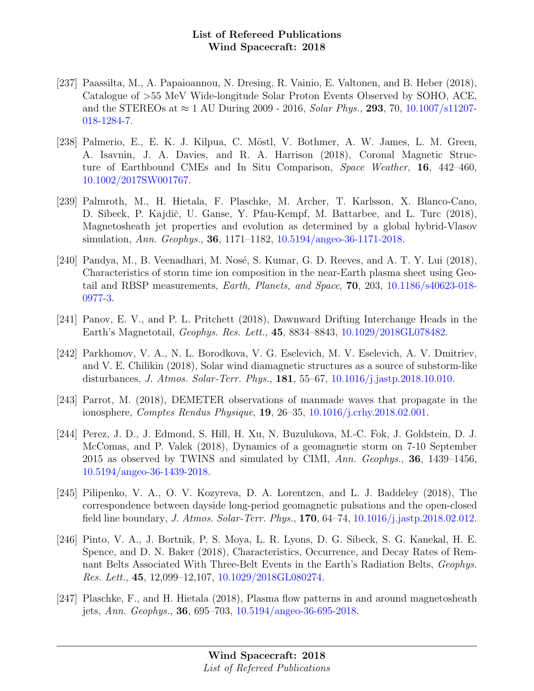- [237] Paassilta, M., A. Papaioannou, N. Dresing, R. Vainio, E. Valtonen, and B. Heber (2018), Catalogue of >55 MeV Wide-longitude Solar Proton Events Observed by SOHO, ACE, and the STEREOs at  $\approx 1$  AU During 2009 - 2016, *Solar Phys.*, **293**, 70, [10.1007/s11207-](http://dx.doi.org/10.1007/s11207-018-1284-7) [018-1284-7.](http://dx.doi.org/10.1007/s11207-018-1284-7)
- [238] Palmerio, E., E. K. J. Kilpua, C. Möstl, V. Bothmer, A. W. James, L. M. Green, A. Isavnin, J. A. Davies, and R. A. Harrison (2018), Coronal Magnetic Structure of Earthbound CMEs and In Situ Comparison, Space Weather, 16, 442–460, [10.1002/2017SW001767.](http://dx.doi.org/10.1002/2017SW001767)
- [239] Palmroth, M., H. Hietala, F. Plaschke, M. Archer, T. Karlsson, X. Blanco-Cano, D. Sibeck, P. Kajdič, U. Ganse, Y. Pfau-Kempf, M. Battarbee, and L. Turc (2018), Magnetosheath jet properties and evolution as determined by a global hybrid-Vlasov simulation, Ann. Geophys., 36, 1171–1182, [10.5194/angeo-36-1171-2018.](http://dx.doi.org/10.5194/angeo-36-1171-2018)
- [240] Pandya, M., B. Veenadhari, M. Nosé, S. Kumar, G. D. Reeves, and A. T. Y. Lui  $(2018)$ , Characteristics of storm time ion composition in the near-Earth plasma sheet using Geotail and RBSP measurements, Earth, Planets, and Space, 70, 203, [10.1186/s40623-018-](http://dx.doi.org/10.1186/s40623-018-0977-3) [0977-3.](http://dx.doi.org/10.1186/s40623-018-0977-3)
- [241] Panov, E. V., and P. L. Pritchett (2018), Dawnward Drifting Interchange Heads in the Earth's Magnetotail, Geophys. Res. Lett., 45, 8834–8843, [10.1029/2018GL078482.](http://dx.doi.org/10.1029/2018GL078482)
- [242] Parkhomov, V. A., N. L. Borodkova, V. G. Eselevich, M. V. Eselevich, A. V. Dmitriev, and V. E. Chilikin (2018), Solar wind diamagnetic structures as a source of substorm-like disturbances, J. Atmos. Solar-Terr. Phys., 181, 55–67, [10.1016/j.jastp.2018.10.010.](http://dx.doi.org/10.1016/j.jastp.2018.10.010)
- [243] Parrot, M. (2018), DEMETER observations of manmade waves that propagate in the ionosphere, Comptes Rendus Physique, 19, 26–35, [10.1016/j.crhy.2018.02.001.](http://dx.doi.org/10.1016/j.crhy.2018.02.001)
- [244] Perez, J. D., J. Edmond, S. Hill, H. Xu, N. Buzulukova, M.-C. Fok, J. Goldstein, D. J. McComas, and P. Valek (2018), Dynamics of a geomagnetic storm on 7-10 September 2015 as observed by TWINS and simulated by CIMI,  $Ann. Geophys.$ , **36**, 1439–1456, [10.5194/angeo-36-1439-2018.](http://dx.doi.org/10.5194/angeo-36-1439-2018)
- [245] Pilipenko, V. A., O. V. Kozyreva, D. A. Lorentzen, and L. J. Baddeley (2018), The correspondence between dayside long-period geomagnetic pulsations and the open-closed field line boundary, J. Atmos. Solar-Terr. Phys., 170, 64–74, [10.1016/j.jastp.2018.02.012.](http://dx.doi.org/10.1016/j.jastp.2018.02.012)
- [246] Pinto, V. A., J. Bortnik, P. S. Moya, L. R. Lyons, D. G. Sibeck, S. G. Kanekal, H. E. Spence, and D. N. Baker (2018), Characteristics, Occurrence, and Decay Rates of Remnant Belts Associated With Three-Belt Events in the Earth's Radiation Belts, Geophys. Res. Lett., 45, 12,099–12,107, [10.1029/2018GL080274.](http://dx.doi.org/10.1029/2018GL080274)
- [247] Plaschke, F., and H. Hietala (2018), Plasma flow patterns in and around magnetosheath jets, Ann. Geophys., 36, 695–703, [10.5194/angeo-36-695-2018.](http://dx.doi.org/10.5194/angeo-36-695-2018)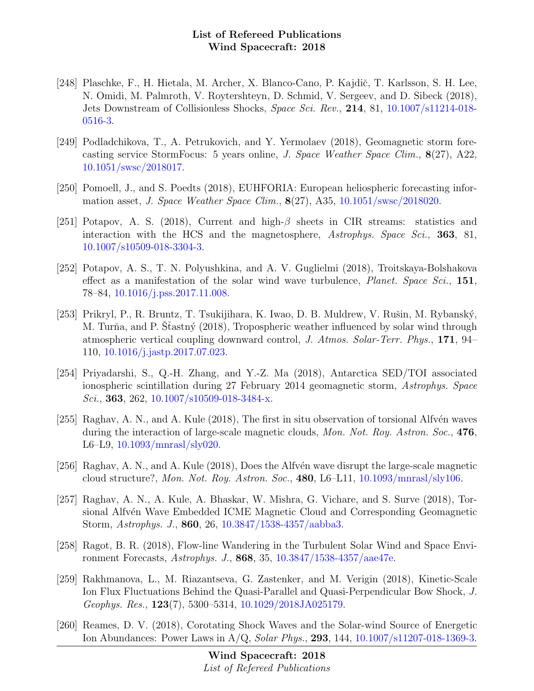- [248] Plaschke, F., H. Hietala, M. Archer, X. Blanco-Cano, P. Kajdič, T. Karlsson, S. H. Lee, N. Omidi, M. Palmroth, V. Roytershteyn, D. Schmid, V. Sergeev, and D. Sibeck (2018), Jets Downstream of Collisionless Shocks, Space Sci. Rev., 214, 81, [10.1007/s11214-018-](http://dx.doi.org/10.1007/s11214-018-0516-3) [0516-3.](http://dx.doi.org/10.1007/s11214-018-0516-3)
- [249] Podladchikova, T., A. Petrukovich, and Y. Yermolaev (2018), Geomagnetic storm forecasting service StormFocus: 5 years online, J. Space Weather Space Clim., 8(27), A22, [10.1051/swsc/2018017.](http://dx.doi.org/10.1051/swsc/2018017)
- [250] Pomoell, J., and S. Poedts (2018), EUHFORIA: European heliospheric forecasting information asset, J. Space Weather Space Clim.,  $8(27)$ , A35, [10.1051/swsc/2018020.](http://dx.doi.org/10.1051/swsc/2018020)
- [251] Potapov, A. S. (2018), Current and high- $\beta$  sheets in CIR streams: statistics and interaction with the HCS and the magnetosphere, Astrophys. Space Sci., 363, 81, [10.1007/s10509-018-3304-3.](http://dx.doi.org/10.1007/s10509-018-3304-3)
- [252] Potapov, A. S., T. N. Polyushkina, and A. V. Guglielmi (2018), Troitskaya-Bolshakova effect as a manifestation of the solar wind wave turbulence, *Planet. Space Sci.*, 151, 78–84, [10.1016/j.pss.2017.11.008.](http://dx.doi.org/10.1016/j.pss.2017.11.008)
- [253] Prikryl, P., R. Bruntz, T. Tsukijihara, K. Iwao, D. B. Muldrew, V. Rušin, M. Rybanský, M. Turňa, and P. Sťastný (2018), Tropospheric weather influenced by solar wind through atmospheric vertical coupling downward control, J. Atmos. Solar-Terr. Phys., 171, 94– 110, [10.1016/j.jastp.2017.07.023.](http://dx.doi.org/10.1016/j.jastp.2017.07.023)
- [254] Priyadarshi, S., Q.-H. Zhang, and Y.-Z. Ma (2018), Antarctica SED/TOI associated ionospheric scintillation during 27 February 2014 geomagnetic storm, Astrophys. Space Sci., 363, 262,  $10.1007 \text{/} \text{s} 10509 \text{-} 018 \text{-} 3484 \text{-} \text{x}$ .
- [255] Raghav, A. N., and A. Kule  $(2018)$ , The first in situ observation of torsional Alfvén waves during the interaction of large-scale magnetic clouds, Mon. Not. Roy. Astron. Soc., 476, L6–L9, [10.1093/mnrasl/sly020.](http://dx.doi.org/10.1093/mnrasl/sly020)
- [256] Raghav, A. N., and A. Kule (2018), Does the Alfvén wave disrupt the large-scale magnetic cloud structure?, Mon. Not. Roy. Astron. Soc., 480, L6–L11, [10.1093/mnrasl/sly106.](http://dx.doi.org/10.1093/mnrasl/sly106)
- [257] Raghav, A. N., A. Kule, A. Bhaskar, W. Mishra, G. Vichare, and S. Surve (2018), Torsional Alfvén Wave Embedded ICME Magnetic Cloud and Corresponding Geomagnetic Storm, Astrophys. J., 860, 26, [10.3847/1538-4357/aabba3.](http://dx.doi.org/10.3847/1538-4357/aabba3)
- [258] Ragot, B. R. (2018), Flow-line Wandering in the Turbulent Solar Wind and Space Environment Forecasts, Astrophys. J., 868, 35, [10.3847/1538-4357/aae47e.](http://dx.doi.org/10.3847/1538-4357/aae47e)
- [259] Rakhmanova, L., M. Riazantseva, G. Zastenker, and M. Verigin (2018), Kinetic-Scale Ion Flux Fluctuations Behind the Quasi-Parallel and Quasi-Perpendicular Bow Shock, J. Geophys. Res., 123(7), 5300–5314, [10.1029/2018JA025179.](http://dx.doi.org/10.1029/2018JA025179)
- [260] Reames, D. V. (2018), Corotating Shock Waves and the Solar-wind Source of Energetic Ion Abundances: Power Laws in A/Q, Solar Phys., 293, 144, [10.1007/s11207-018-1369-3.](http://dx.doi.org/10.1007/s11207-018-1369-3)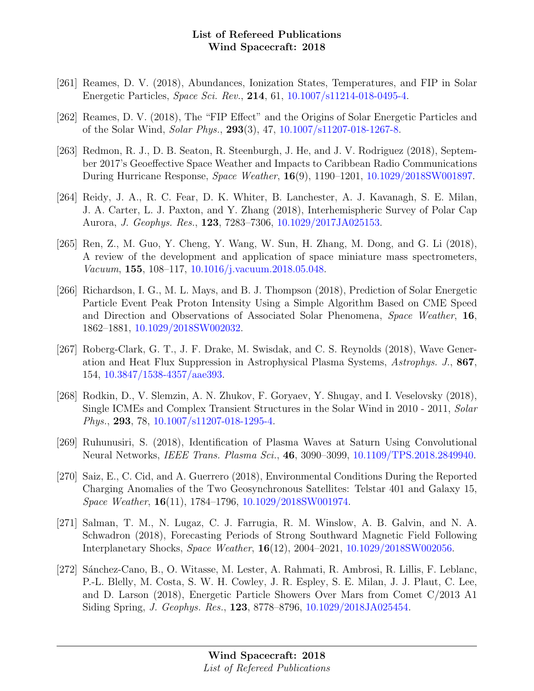- [261] Reames, D. V. (2018), Abundances, Ionization States, Temperatures, and FIP in Solar Energetic Particles, Space Sci. Rev., 214, 61, [10.1007/s11214-018-0495-4.](http://dx.doi.org/10.1007/s11214-018-0495-4)
- [262] Reames, D. V. (2018), The "FIP Effect" and the Origins of Solar Energetic Particles and of the Solar Wind, Solar Phys., 293(3), 47, [10.1007/s11207-018-1267-8.](http://dx.doi.org/10.1007/s11207-018-1267-8)
- [263] Redmon, R. J., D. B. Seaton, R. Steenburgh, J. He, and J. V. Rodriguez (2018), September 2017's Geoeffective Space Weather and Impacts to Caribbean Radio Communications During Hurricane Response, Space Weather, 16(9), 1190–1201, [10.1029/2018SW001897.](http://dx.doi.org/10.1029/2018SW001897)
- [264] Reidy, J. A., R. C. Fear, D. K. Whiter, B. Lanchester, A. J. Kavanagh, S. E. Milan, J. A. Carter, L. J. Paxton, and Y. Zhang (2018), Interhemispheric Survey of Polar Cap Aurora, J. Geophys. Res., 123, 7283–7306, [10.1029/2017JA025153.](http://dx.doi.org/10.1029/2017JA025153)
- [265] Ren, Z., M. Guo, Y. Cheng, Y. Wang, W. Sun, H. Zhang, M. Dong, and G. Li (2018), A review of the development and application of space miniature mass spectrometers, Vacuum, 155, 108–117, [10.1016/j.vacuum.2018.05.048.](http://dx.doi.org/10.1016/j.vacuum.2018.05.048)
- [266] Richardson, I. G., M. L. Mays, and B. J. Thompson (2018), Prediction of Solar Energetic Particle Event Peak Proton Intensity Using a Simple Algorithm Based on CME Speed and Direction and Observations of Associated Solar Phenomena, Space Weather, 16, 1862–1881, [10.1029/2018SW002032.](http://dx.doi.org/10.1029/2018SW002032)
- [267] Roberg-Clark, G. T., J. F. Drake, M. Swisdak, and C. S. Reynolds (2018), Wave Generation and Heat Flux Suppression in Astrophysical Plasma Systems, Astrophys. J., 867, 154, [10.3847/1538-4357/aae393.](http://dx.doi.org/10.3847/1538-4357/aae393)
- [268] Rodkin, D., V. Slemzin, A. N. Zhukov, F. Goryaev, Y. Shugay, and I. Veselovsky (2018), Single ICMEs and Complex Transient Structures in the Solar Wind in 2010 - 2011, Solar Phys., 293, 78, [10.1007/s11207-018-1295-4.](http://dx.doi.org/10.1007/s11207-018-1295-4)
- [269] Ruhunusiri, S. (2018), Identification of Plasma Waves at Saturn Using Convolutional Neural Networks, IEEE Trans. Plasma Sci., 46, 3090–3099, [10.1109/TPS.2018.2849940.](http://dx.doi.org/10.1109/TPS.2018.2849940)
- [270] Saiz, E., C. Cid, and A. Guerrero (2018), Environmental Conditions During the Reported Charging Anomalies of the Two Geosynchronous Satellites: Telstar 401 and Galaxy 15, Space Weather, 16(11), 1784–1796, [10.1029/2018SW001974.](http://dx.doi.org/10.1029/2018SW001974)
- [271] Salman, T. M., N. Lugaz, C. J. Farrugia, R. M. Winslow, A. B. Galvin, and N. A. Schwadron (2018), Forecasting Periods of Strong Southward Magnetic Field Following Interplanetary Shocks, Space Weather, 16(12), 2004–2021, [10.1029/2018SW002056.](http://dx.doi.org/10.1029/2018SW002056)
- [272] Sánchez-Cano, B., O. Witasse, M. Lester, A. Rahmati, R. Ambrosi, R. Lillis, F. Leblanc, P.-L. Blelly, M. Costa, S. W. H. Cowley, J. R. Espley, S. E. Milan, J. J. Plaut, C. Lee, and D. Larson (2018), Energetic Particle Showers Over Mars from Comet C/2013 A1 Siding Spring, J. Geophys. Res., 123, 8778–8796, [10.1029/2018JA025454.](http://dx.doi.org/10.1029/2018JA025454)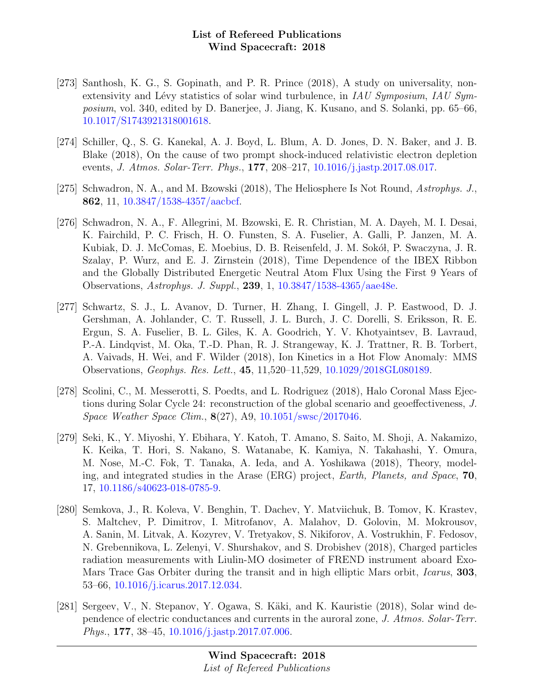- [273] Santhosh, K. G., S. Gopinath, and P. R. Prince (2018), A study on universality, nonextensivity and Lévy statistics of solar wind turbulence, in IAU Symposium, IAU Symposium, vol. 340, edited by D. Banerjee, J. Jiang, K. Kusano, and S. Solanki, pp. 65–66, [10.1017/S1743921318001618.](http://dx.doi.org/10.1017/S1743921318001618)
- [274] Schiller, Q., S. G. Kanekal, A. J. Boyd, L. Blum, A. D. Jones, D. N. Baker, and J. B. Blake (2018), On the cause of two prompt shock-induced relativistic electron depletion events, J. Atmos. Solar-Terr. Phys., 177, 208–217, [10.1016/j.jastp.2017.08.017.](http://dx.doi.org/10.1016/j.jastp.2017.08.017)
- [275] Schwadron, N. A., and M. Bzowski (2018), The Heliosphere Is Not Round, Astrophys. J., 862, 11, [10.3847/1538-4357/aacbcf.](http://dx.doi.org/10.3847/1538-4357/aacbcf)
- [276] Schwadron, N. A., F. Allegrini, M. Bzowski, E. R. Christian, M. A. Dayeh, M. I. Desai, K. Fairchild, P. C. Frisch, H. O. Funsten, S. A. Fuselier, A. Galli, P. Janzen, M. A. Kubiak, D. J. McComas, E. Moebius, D. B. Reisenfeld, J. M. Sokół, P. Swaczyna, J. R. Szalay, P. Wurz, and E. J. Zirnstein (2018), Time Dependence of the IBEX Ribbon and the Globally Distributed Energetic Neutral Atom Flux Using the First 9 Years of Observations, Astrophys. J. Suppl., 239, 1, [10.3847/1538-4365/aae48e.](http://dx.doi.org/10.3847/1538-4365/aae48e)
- [277] Schwartz, S. J., L. Avanov, D. Turner, H. Zhang, I. Gingell, J. P. Eastwood, D. J. Gershman, A. Johlander, C. T. Russell, J. L. Burch, J. C. Dorelli, S. Eriksson, R. E. Ergun, S. A. Fuselier, B. L. Giles, K. A. Goodrich, Y. V. Khotyaintsev, B. Lavraud, P.-A. Lindqvist, M. Oka, T.-D. Phan, R. J. Strangeway, K. J. Trattner, R. B. Torbert, A. Vaivads, H. Wei, and F. Wilder (2018), Ion Kinetics in a Hot Flow Anomaly: MMS Observations, Geophys. Res. Lett., 45, 11,520–11,529, [10.1029/2018GL080189.](http://dx.doi.org/10.1029/2018GL080189)
- [278] Scolini, C., M. Messerotti, S. Poedts, and L. Rodriguez (2018), Halo Coronal Mass Ejections during Solar Cycle 24: reconstruction of the global scenario and geoeffectiveness, J. Space Weather Space Clim., 8(27), A9, [10.1051/swsc/2017046.](http://dx.doi.org/10.1051/swsc/2017046)
- [279] Seki, K., Y. Miyoshi, Y. Ebihara, Y. Katoh, T. Amano, S. Saito, M. Shoji, A. Nakamizo, K. Keika, T. Hori, S. Nakano, S. Watanabe, K. Kamiya, N. Takahashi, Y. Omura, M. Nose, M.-C. Fok, T. Tanaka, A. Ieda, and A. Yoshikawa (2018), Theory, modeling, and integrated studies in the Arase (ERG) project, Earth, Planets, and Space, 70, 17, [10.1186/s40623-018-0785-9.](http://dx.doi.org/10.1186/s40623-018-0785-9)
- [280] Semkova, J., R. Koleva, V. Benghin, T. Dachev, Y. Matviichuk, B. Tomov, K. Krastev, S. Maltchev, P. Dimitrov, I. Mitrofanov, A. Malahov, D. Golovin, M. Mokrousov, A. Sanin, M. Litvak, A. Kozyrev, V. Tretyakov, S. Nikiforov, A. Vostrukhin, F. Fedosov, N. Grebennikova, L. Zelenyi, V. Shurshakov, and S. Drobishev (2018), Charged particles radiation measurements with Liulin-MO dosimeter of FREND instrument aboard Exo-Mars Trace Gas Orbiter during the transit and in high elliptic Mars orbit, *Icarus*, **303**, 53–66, [10.1016/j.icarus.2017.12.034.](http://dx.doi.org/10.1016/j.icarus.2017.12.034)
- [281] Sergeev, V., N. Stepanov, Y. Ogawa, S. Käki, and K. Kauristie (2018), Solar wind dependence of electric conductances and currents in the auroral zone, J. Atmos. Solar-Terr. Phys., 177, 38–45, [10.1016/j.jastp.2017.07.006.](http://dx.doi.org/10.1016/j.jastp.2017.07.006)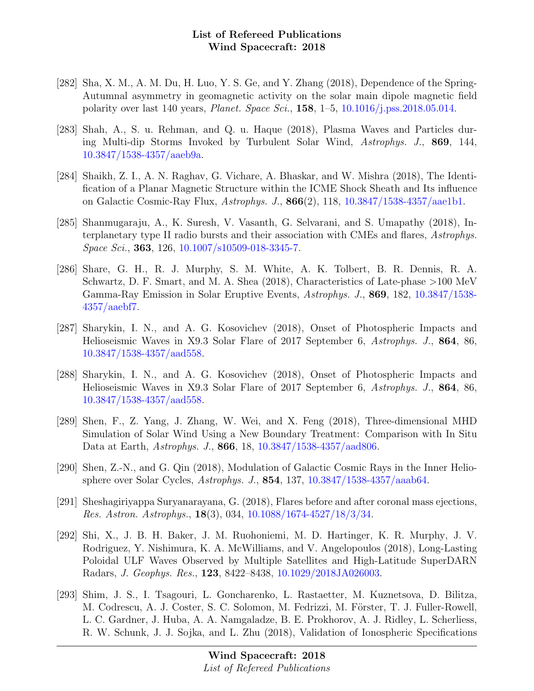- [282] Sha, X. M., A. M. Du, H. Luo, Y. S. Ge, and Y. Zhang (2018), Dependence of the Spring-Autumnal asymmetry in geomagnetic activity on the solar main dipole magnetic field polarity over last 140 years, Planet. Space Sci., 158, 1–5, [10.1016/j.pss.2018.05.014.](http://dx.doi.org/10.1016/j.pss.2018.05.014)
- [283] Shah, A., S. u. Rehman, and Q. u. Haque (2018), Plasma Waves and Particles during Multi-dip Storms Invoked by Turbulent Solar Wind, Astrophys. J., 869, 144, [10.3847/1538-4357/aaeb9a.](http://dx.doi.org/10.3847/1538-4357/aaeb9a)
- [284] Shaikh, Z. I., A. N. Raghav, G. Vichare, A. Bhaskar, and W. Mishra (2018), The Identification of a Planar Magnetic Structure within the ICME Shock Sheath and Its influence on Galactic Cosmic-Ray Flux, Astrophys. J., 866(2), 118, [10.3847/1538-4357/aae1b1.](http://dx.doi.org/10.3847/1538-4357/aae1b1)
- [285] Shanmugaraju, A., K. Suresh, V. Vasanth, G. Selvarani, and S. Umapathy (2018), Interplanetary type II radio bursts and their association with CMEs and flares, Astrophys. Space Sci., 363, 126, [10.1007/s10509-018-3345-7.](http://dx.doi.org/10.1007/s10509-018-3345-7)
- [286] Share, G. H., R. J. Murphy, S. M. White, A. K. Tolbert, B. R. Dennis, R. A. Schwartz, D. F. Smart, and M. A. Shea (2018), Characteristics of Late-phase >100 MeV Gamma-Ray Emission in Solar Eruptive Events, Astrophys. J., 869, 182, [10.3847/1538-](http://dx.doi.org/10.3847/1538-4357/aaebf7) [4357/aaebf7.](http://dx.doi.org/10.3847/1538-4357/aaebf7)
- [287] Sharykin, I. N., and A. G. Kosovichev (2018), Onset of Photospheric Impacts and Helioseismic Waves in X9.3 Solar Flare of 2017 September 6, Astrophys. J., 864, 86, [10.3847/1538-4357/aad558.](http://dx.doi.org/10.3847/1538-4357/aad558)
- [288] Sharykin, I. N., and A. G. Kosovichev (2018), Onset of Photospheric Impacts and Helioseismic Waves in X9.3 Solar Flare of 2017 September 6, Astrophys. J., 864, 86, [10.3847/1538-4357/aad558.](http://dx.doi.org/10.3847/1538-4357/aad558)
- [289] Shen, F., Z. Yang, J. Zhang, W. Wei, and X. Feng (2018), Three-dimensional MHD Simulation of Solar Wind Using a New Boundary Treatment: Comparison with In Situ Data at Earth, Astrophys. J., 866, 18, [10.3847/1538-4357/aad806.](http://dx.doi.org/10.3847/1538-4357/aad806)
- [290] Shen, Z.-N., and G. Qin (2018), Modulation of Galactic Cosmic Rays in the Inner Heliosphere over Solar Cycles, Astrophys. J., 854, 137, [10.3847/1538-4357/aaab64.](http://dx.doi.org/10.3847/1538-4357/aaab64)
- [291] Sheshagiriyappa Suryanarayana, G. (2018), Flares before and after coronal mass ejections, Res. Astron. Astrophys., 18(3), 034, [10.1088/1674-4527/18/3/34.](http://dx.doi.org/10.1088/1674-4527/18/3/34)
- [292] Shi, X., J. B. H. Baker, J. M. Ruohoniemi, M. D. Hartinger, K. R. Murphy, J. V. Rodriguez, Y. Nishimura, K. A. McWilliams, and V. Angelopoulos (2018), Long-Lasting Poloidal ULF Waves Observed by Multiple Satellites and High-Latitude SuperDARN Radars, J. Geophys. Res., 123, 8422–8438, [10.1029/2018JA026003.](http://dx.doi.org/10.1029/2018JA026003)
- [293] Shim, J. S., I. Tsagouri, L. Goncharenko, L. Rastaetter, M. Kuznetsova, D. Bilitza, M. Codrescu, A. J. Coster, S. C. Solomon, M. Fedrizzi, M. Förster, T. J. Fuller-Rowell, L. C. Gardner, J. Huba, A. A. Namgaladze, B. E. Prokhorov, A. J. Ridley, L. Scherliess, R. W. Schunk, J. J. Sojka, and L. Zhu (2018), Validation of Ionospheric Specifications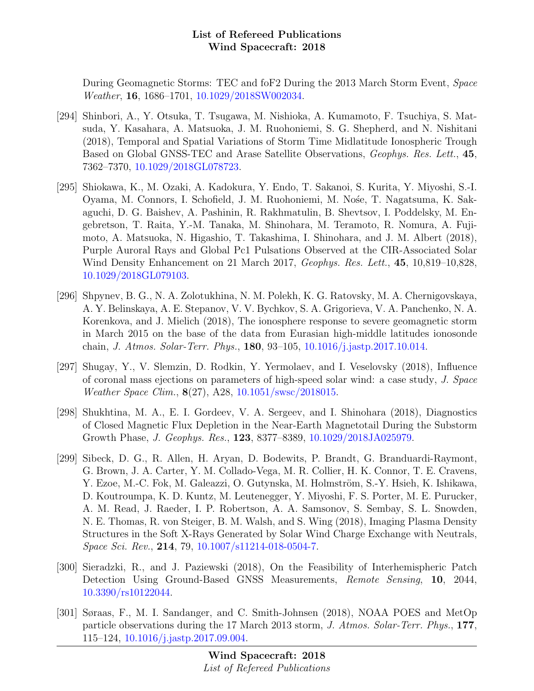During Geomagnetic Storms: TEC and foF2 During the 2013 March Storm Event, Space Weather, 16, 1686–1701, [10.1029/2018SW002034.](http://dx.doi.org/10.1029/2018SW002034)

- [294] Shinbori, A., Y. Otsuka, T. Tsugawa, M. Nishioka, A. Kumamoto, F. Tsuchiya, S. Matsuda, Y. Kasahara, A. Matsuoka, J. M. Ruohoniemi, S. G. Shepherd, and N. Nishitani (2018), Temporal and Spatial Variations of Storm Time Midlatitude Ionospheric Trough Based on Global GNSS-TEC and Arase Satellite Observations, Geophys. Res. Lett., 45, 7362–7370, [10.1029/2018GL078723.](http://dx.doi.org/10.1029/2018GL078723)
- [295] Shiokawa, K., M. Ozaki, A. Kadokura, Y. Endo, T. Sakanoi, S. Kurita, Y. Miyoshi, S.-I. Oyama, M. Connors, I. Schofield, J. M. Ruohoniemi, M. Nośe, T. Nagatsuma, K. Sakaguchi, D. G. Baishev, A. Pashinin, R. Rakhmatulin, B. Shevtsov, I. Poddelsky, M. Engebretson, T. Raita, Y.-M. Tanaka, M. Shinohara, M. Teramoto, R. Nomura, A. Fujimoto, A. Matsuoka, N. Higashio, T. Takashima, I. Shinohara, and J. M. Albert (2018), Purple Auroral Rays and Global Pc1 Pulsations Observed at the CIR-Associated Solar Wind Density Enhancement on 21 March 2017, Geophys. Res. Lett., 45, 10,819–10,828, [10.1029/2018GL079103.](http://dx.doi.org/10.1029/2018GL079103)
- [296] Shpynev, B. G., N. A. Zolotukhina, N. M. Polekh, K. G. Ratovsky, M. A. Chernigovskaya, A. Y. Belinskaya, A. E. Stepanov, V. V. Bychkov, S. A. Grigorieva, V. A. Panchenko, N. A. Korenkova, and J. Mielich (2018), The ionosphere response to severe geomagnetic storm in March 2015 on the base of the data from Eurasian high-middle latitudes ionosonde chain, J. Atmos. Solar-Terr. Phys., 180, 93–105, [10.1016/j.jastp.2017.10.014.](http://dx.doi.org/10.1016/j.jastp.2017.10.014)
- [297] Shugay, Y., V. Slemzin, D. Rodkin, Y. Yermolaev, and I. Veselovsky (2018), Influence of coronal mass ejections on parameters of high-speed solar wind: a case study, J. Space Weather Space Clim., 8(27), A28, [10.1051/swsc/2018015.](http://dx.doi.org/10.1051/swsc/2018015)
- [298] Shukhtina, M. A., E. I. Gordeev, V. A. Sergeev, and I. Shinohara (2018), Diagnostics of Closed Magnetic Flux Depletion in the Near-Earth Magnetotail During the Substorm Growth Phase, J. Geophys. Res., 123, 8377–8389, [10.1029/2018JA025979.](http://dx.doi.org/10.1029/2018JA025979)
- [299] Sibeck, D. G., R. Allen, H. Aryan, D. Bodewits, P. Brandt, G. Branduardi-Raymont, G. Brown, J. A. Carter, Y. M. Collado-Vega, M. R. Collier, H. K. Connor, T. E. Cravens, Y. Ezoe, M.-C. Fok, M. Galeazzi, O. Gutynska, M. Holmström, S.-Y. Hsieh, K. Ishikawa, D. Koutroumpa, K. D. Kuntz, M. Leutenegger, Y. Miyoshi, F. S. Porter, M. E. Purucker, A. M. Read, J. Raeder, I. P. Robertson, A. A. Samsonov, S. Sembay, S. L. Snowden, N. E. Thomas, R. von Steiger, B. M. Walsh, and S. Wing (2018), Imaging Plasma Density Structures in the Soft X-Rays Generated by Solar Wind Charge Exchange with Neutrals, Space Sci. Rev., 214, 79, [10.1007/s11214-018-0504-7.](http://dx.doi.org/10.1007/s11214-018-0504-7)
- [300] Sieradzki, R., and J. Paziewski (2018), On the Feasibility of Interhemispheric Patch Detection Using Ground-Based GNSS Measurements, Remote Sensing, 10, 2044, [10.3390/rs10122044.](http://dx.doi.org/10.3390/rs10122044)
- [301] Søraas, F., M. I. Sandanger, and C. Smith-Johnsen (2018), NOAA POES and MetOp particle observations during the 17 March 2013 storm, J. Atmos. Solar-Terr. Phys., 177, 115–124, [10.1016/j.jastp.2017.09.004.](http://dx.doi.org/10.1016/j.jastp.2017.09.004)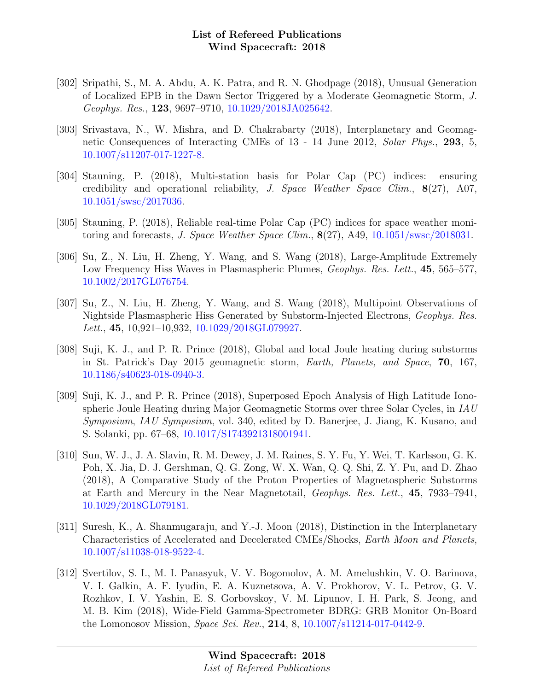- [302] Sripathi, S., M. A. Abdu, A. K. Patra, and R. N. Ghodpage (2018), Unusual Generation of Localized EPB in the Dawn Sector Triggered by a Moderate Geomagnetic Storm, J. Geophys. Res., 123, 9697–9710, [10.1029/2018JA025642.](http://dx.doi.org/10.1029/2018JA025642)
- [303] Srivastava, N., W. Mishra, and D. Chakrabarty (2018), Interplanetary and Geomagnetic Consequences of Interacting CMEs of 13 - 14 June 2012, Solar Phys., 293, 5, [10.1007/s11207-017-1227-8.](http://dx.doi.org/10.1007/s11207-017-1227-8)
- [304] Stauning, P. (2018), Multi-station basis for Polar Cap (PC) indices: ensuring credibility and operational reliability, J. Space Weather Space Clim., 8(27), A07, [10.1051/swsc/2017036.](http://dx.doi.org/10.1051/swsc/2017036)
- [305] Stauning, P. (2018), Reliable real-time Polar Cap (PC) indices for space weather monitoring and forecasts, J. Space Weather Space Clim.,  $8(27)$ , A49, [10.1051/swsc/2018031.](http://dx.doi.org/10.1051/swsc/2018031)
- [306] Su, Z., N. Liu, H. Zheng, Y. Wang, and S. Wang (2018), Large-Amplitude Extremely Low Frequency Hiss Waves in Plasmaspheric Plumes, *Geophys. Res. Lett.*, **45**, 565–577, [10.1002/2017GL076754.](http://dx.doi.org/10.1002/2017GL076754)
- [307] Su, Z., N. Liu, H. Zheng, Y. Wang, and S. Wang (2018), Multipoint Observations of Nightside Plasmaspheric Hiss Generated by Substorm-Injected Electrons, Geophys. Res. Lett., 45, 10,921–10,932, [10.1029/2018GL079927.](http://dx.doi.org/10.1029/2018GL079927)
- [308] Suji, K. J., and P. R. Prince (2018), Global and local Joule heating during substorms in St. Patrick's Day 2015 geomagnetic storm, Earth, Planets, and Space, 70, 167, [10.1186/s40623-018-0940-3.](http://dx.doi.org/10.1186/s40623-018-0940-3)
- [309] Suji, K. J., and P. R. Prince (2018), Superposed Epoch Analysis of High Latitude Ionospheric Joule Heating during Major Geomagnetic Storms over three Solar Cycles, in IAU Symposium, IAU Symposium, vol. 340, edited by D. Banerjee, J. Jiang, K. Kusano, and S. Solanki, pp. 67–68, [10.1017/S1743921318001941.](http://dx.doi.org/10.1017/S1743921318001941)
- [310] Sun, W. J., J. A. Slavin, R. M. Dewey, J. M. Raines, S. Y. Fu, Y. Wei, T. Karlsson, G. K. Poh, X. Jia, D. J. Gershman, Q. G. Zong, W. X. Wan, Q. Q. Shi, Z. Y. Pu, and D. Zhao (2018), A Comparative Study of the Proton Properties of Magnetospheric Substorms at Earth and Mercury in the Near Magnetotail, Geophys. Res. Lett., 45, 7933–7941, [10.1029/2018GL079181.](http://dx.doi.org/10.1029/2018GL079181)
- [311] Suresh, K., A. Shanmugaraju, and Y.-J. Moon (2018), Distinction in the Interplanetary Characteristics of Accelerated and Decelerated CMEs/Shocks, Earth Moon and Planets, [10.1007/s11038-018-9522-4.](http://dx.doi.org/10.1007/s11038-018-9522-4)
- [312] Svertilov, S. I., M. I. Panasyuk, V. V. Bogomolov, A. M. Amelushkin, V. O. Barinova, V. I. Galkin, A. F. Iyudin, E. A. Kuznetsova, A. V. Prokhorov, V. L. Petrov, G. V. Rozhkov, I. V. Yashin, E. S. Gorbovskoy, V. M. Lipunov, I. H. Park, S. Jeong, and M. B. Kim (2018), Wide-Field Gamma-Spectrometer BDRG: GRB Monitor On-Board the Lomonosov Mission, Space Sci. Rev., 214, 8, [10.1007/s11214-017-0442-9.](http://dx.doi.org/10.1007/s11214-017-0442-9)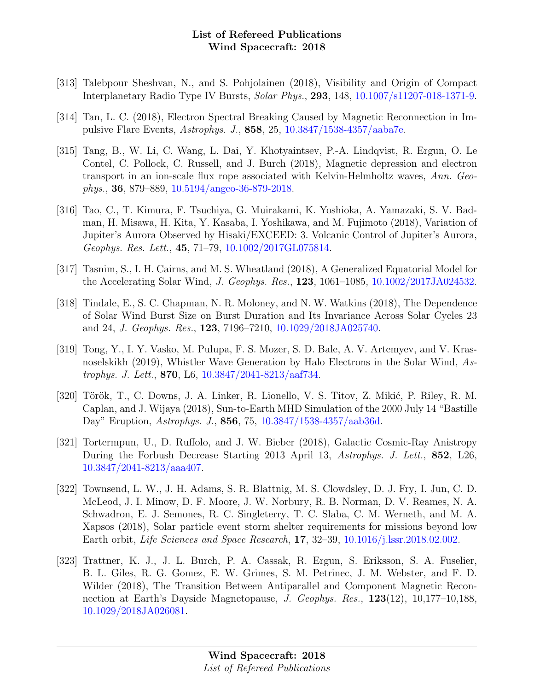- [313] Talebpour Sheshvan, N., and S. Pohjolainen (2018), Visibility and Origin of Compact Interplanetary Radio Type IV Bursts, Solar Phys., 293, 148, [10.1007/s11207-018-1371-9.](http://dx.doi.org/10.1007/s11207-018-1371-9)
- [314] Tan, L. C. (2018), Electron Spectral Breaking Caused by Magnetic Reconnection in Impulsive Flare Events, Astrophys. J., 858, 25, [10.3847/1538-4357/aaba7e.](http://dx.doi.org/10.3847/1538-4357/aaba7e)
- [315] Tang, B., W. Li, C. Wang, L. Dai, Y. Khotyaintsev, P.-A. Lindqvist, R. Ergun, O. Le Contel, C. Pollock, C. Russell, and J. Burch (2018), Magnetic depression and electron transport in an ion-scale flux rope associated with Kelvin-Helmholtz waves, Ann. Geophys., 36, 879–889, [10.5194/angeo-36-879-2018.](http://dx.doi.org/10.5194/angeo-36-879-2018)
- [316] Tao, C., T. Kimura, F. Tsuchiya, G. Muirakami, K. Yoshioka, A. Yamazaki, S. V. Badman, H. Misawa, H. Kita, Y. Kasaba, I. Yoshikawa, and M. Fujimoto (2018), Variation of Jupiter's Aurora Observed by Hisaki/EXCEED: 3. Volcanic Control of Jupiter's Aurora, Geophys. Res. Lett., 45, 71–79, [10.1002/2017GL075814.](http://dx.doi.org/10.1002/2017GL075814)
- [317] Tasnim, S., I. H. Cairns, and M. S. Wheatland (2018), A Generalized Equatorial Model for the Accelerating Solar Wind, J. Geophys. Res., 123, 1061–1085, [10.1002/2017JA024532.](http://dx.doi.org/10.1002/2017JA024532)
- [318] Tindale, E., S. C. Chapman, N. R. Moloney, and N. W. Watkins (2018), The Dependence of Solar Wind Burst Size on Burst Duration and Its Invariance Across Solar Cycles 23 and 24, J. Geophys. Res., 123, 7196–7210, [10.1029/2018JA025740.](http://dx.doi.org/10.1029/2018JA025740)
- [319] Tong, Y., I. Y. Vasko, M. Pulupa, F. S. Mozer, S. D. Bale, A. V. Artemyev, and V. Krasnoselskikh (2019), Whistler Wave Generation by Halo Electrons in the Solar Wind, Astrophys. J. Lett., 870, L6, [10.3847/2041-8213/aaf734.](http://dx.doi.org/10.3847/2041-8213/aaf734)
- [320] Török, T., C. Downs, J. A. Linker, R. Lionello, V. S. Titov, Z. Mikić, P. Riley, R. M. Caplan, and J. Wijaya (2018), Sun-to-Earth MHD Simulation of the 2000 July 14 "Bastille Day" Eruption, Astrophys. J., 856, 75, [10.3847/1538-4357/aab36d.](http://dx.doi.org/10.3847/1538-4357/aab36d)
- [321] Tortermpun, U., D. Ruffolo, and J. W. Bieber (2018), Galactic Cosmic-Ray Anistropy During the Forbush Decrease Starting 2013 April 13, Astrophys. J. Lett., 852, L26, [10.3847/2041-8213/aaa407.](http://dx.doi.org/10.3847/2041-8213/aaa407)
- [322] Townsend, L. W., J. H. Adams, S. R. Blattnig, M. S. Clowdsley, D. J. Fry, I. Jun, C. D. McLeod, J. I. Minow, D. F. Moore, J. W. Norbury, R. B. Norman, D. V. Reames, N. A. Schwadron, E. J. Semones, R. C. Singleterry, T. C. Slaba, C. M. Werneth, and M. A. Xapsos (2018), Solar particle event storm shelter requirements for missions beyond low Earth orbit, Life Sciences and Space Research, 17, 32–39, [10.1016/j.lssr.2018.02.002.](http://dx.doi.org/10.1016/j.lssr.2018.02.002)
- [323] Trattner, K. J., J. L. Burch, P. A. Cassak, R. Ergun, S. Eriksson, S. A. Fuselier, B. L. Giles, R. G. Gomez, E. W. Grimes, S. M. Petrinec, J. M. Webster, and F. D. Wilder (2018), The Transition Between Antiparallel and Component Magnetic Reconnection at Earth's Dayside Magnetopause, J. Geophys. Res., 123(12), 10,177–10,188, [10.1029/2018JA026081.](http://dx.doi.org/10.1029/2018JA026081)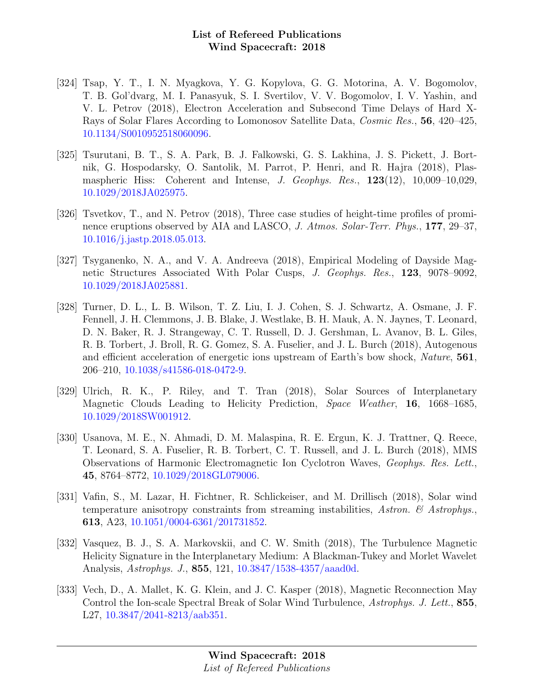- [324] Tsap, Y. T., I. N. Myagkova, Y. G. Kopylova, G. G. Motorina, A. V. Bogomolov, T. B. Gol'dvarg, M. I. Panasyuk, S. I. Svertilov, V. V. Bogomolov, I. V. Yashin, and V. L. Petrov (2018), Electron Acceleration and Subsecond Time Delays of Hard X-Rays of Solar Flares According to Lomonosov Satellite Data, Cosmic Res., 56, 420–425, [10.1134/S0010952518060096.](http://dx.doi.org/10.1134/S0010952518060096)
- [325] Tsurutani, B. T., S. A. Park, B. J. Falkowski, G. S. Lakhina, J. S. Pickett, J. Bortnik, G. Hospodarsky, O. Santolik, M. Parrot, P. Henri, and R. Hajra (2018), Plasmaspheric Hiss: Coherent and Intense, J. Geophys. Res., 123(12), 10,009–10,029, [10.1029/2018JA025975.](http://dx.doi.org/10.1029/2018JA025975)
- [326] Tsvetkov, T., and N. Petrov (2018), Three case studies of height-time profiles of prominence eruptions observed by AIA and LASCO, J. Atmos. Solar-Terr. Phys., 177, 29–37, [10.1016/j.jastp.2018.05.013.](http://dx.doi.org/10.1016/j.jastp.2018.05.013)
- [327] Tsyganenko, N. A., and V. A. Andreeva (2018), Empirical Modeling of Dayside Magnetic Structures Associated With Polar Cusps, J. Geophys. Res., 123, 9078–9092, [10.1029/2018JA025881.](http://dx.doi.org/10.1029/2018JA025881)
- [328] Turner, D. L., L. B. Wilson, T. Z. Liu, I. J. Cohen, S. J. Schwartz, A. Osmane, J. F. Fennell, J. H. Clemmons, J. B. Blake, J. Westlake, B. H. Mauk, A. N. Jaynes, T. Leonard, D. N. Baker, R. J. Strangeway, C. T. Russell, D. J. Gershman, L. Avanov, B. L. Giles, R. B. Torbert, J. Broll, R. G. Gomez, S. A. Fuselier, and J. L. Burch (2018), Autogenous and efficient acceleration of energetic ions upstream of Earth's bow shock, Nature, 561, 206–210, [10.1038/s41586-018-0472-9.](http://dx.doi.org/10.1038/s41586-018-0472-9)
- [329] Ulrich, R. K., P. Riley, and T. Tran (2018), Solar Sources of Interplanetary Magnetic Clouds Leading to Helicity Prediction, Space Weather, 16, 1668–1685, [10.1029/2018SW001912.](http://dx.doi.org/10.1029/2018SW001912)
- [330] Usanova, M. E., N. Ahmadi, D. M. Malaspina, R. E. Ergun, K. J. Trattner, Q. Reece, T. Leonard, S. A. Fuselier, R. B. Torbert, C. T. Russell, and J. L. Burch (2018), MMS Observations of Harmonic Electromagnetic Ion Cyclotron Waves, Geophys. Res. Lett., 45, 8764–8772, [10.1029/2018GL079006.](http://dx.doi.org/10.1029/2018GL079006)
- [331] Vafin, S., M. Lazar, H. Fichtner, R. Schlickeiser, and M. Drillisch (2018), Solar wind temperature anisotropy constraints from streaming instabilities, Astron.  $\mathscr{C}$  Astrophys. 613, A23, [10.1051/0004-6361/201731852.](http://dx.doi.org/10.1051/0004-6361/201731852)
- [332] Vasquez, B. J., S. A. Markovskii, and C. W. Smith (2018), The Turbulence Magnetic Helicity Signature in the Interplanetary Medium: A Blackman-Tukey and Morlet Wavelet Analysis, Astrophys. J., 855, 121, [10.3847/1538-4357/aaad0d.](http://dx.doi.org/10.3847/1538-4357/aaad0d)
- [333] Vech, D., A. Mallet, K. G. Klein, and J. C. Kasper (2018), Magnetic Reconnection May Control the Ion-scale Spectral Break of Solar Wind Turbulence, Astrophys. J. Lett., 855, L27, [10.3847/2041-8213/aab351.](http://dx.doi.org/10.3847/2041-8213/aab351)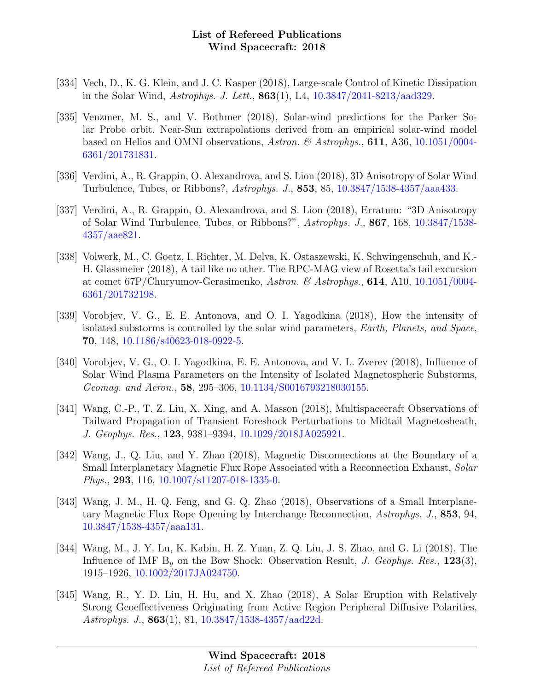- [334] Vech, D., K. G. Klein, and J. C. Kasper (2018), Large-scale Control of Kinetic Dissipation in the Solar Wind, Astrophys. J. Lett., 863(1), L4, [10.3847/2041-8213/aad329.](http://dx.doi.org/10.3847/2041-8213/aad329)
- [335] Venzmer, M. S., and V. Bothmer (2018), Solar-wind predictions for the Parker Solar Probe orbit. Near-Sun extrapolations derived from an empirical solar-wind model based on Helios and OMNI observations, Astron. & Astrophys., 611, A36, [10.1051/0004-](http://dx.doi.org/10.1051/0004-6361/201731831) [6361/201731831.](http://dx.doi.org/10.1051/0004-6361/201731831)
- [336] Verdini, A., R. Grappin, O. Alexandrova, and S. Lion (2018), 3D Anisotropy of Solar Wind Turbulence, Tubes, or Ribbons?, Astrophys. J., 853, 85, [10.3847/1538-4357/aaa433.](http://dx.doi.org/10.3847/1538-4357/aaa433)
- [337] Verdini, A., R. Grappin, O. Alexandrova, and S. Lion (2018), Erratum: "3D Anisotropy of Solar Wind Turbulence, Tubes, or Ribbons?", Astrophys. J., 867, 168, [10.3847/1538-](http://dx.doi.org/10.3847/1538-4357/aae821) [4357/aae821.](http://dx.doi.org/10.3847/1538-4357/aae821)
- [338] Volwerk, M., C. Goetz, I. Richter, M. Delva, K. Ostaszewski, K. Schwingenschuh, and K.- H. Glassmeier (2018), A tail like no other. The RPC-MAG view of Rosetta's tail excursion at comet 67P/Churyumov-Gerasimenko, Astron. & Astrophys., 614, A10, [10.1051/0004-](http://dx.doi.org/10.1051/0004-6361/201732198) [6361/201732198.](http://dx.doi.org/10.1051/0004-6361/201732198)
- [339] Vorobjev, V. G., E. E. Antonova, and O. I. Yagodkina (2018), How the intensity of isolated substorms is controlled by the solar wind parameters, Earth, Planets, and Space, 70, 148, [10.1186/s40623-018-0922-5.](http://dx.doi.org/10.1186/s40623-018-0922-5)
- [340] Vorobjev, V. G., O. I. Yagodkina, E. E. Antonova, and V. L. Zverev (2018), Influence of Solar Wind Plasma Parameters on the Intensity of Isolated Magnetospheric Substorms, Geomag. and Aeron., 58, 295–306, [10.1134/S0016793218030155.](http://dx.doi.org/10.1134/S0016793218030155)
- [341] Wang, C.-P., T. Z. Liu, X. Xing, and A. Masson (2018), Multispacecraft Observations of Tailward Propagation of Transient Foreshock Perturbations to Midtail Magnetosheath, J. Geophys. Res., 123, 9381–9394, [10.1029/2018JA025921.](http://dx.doi.org/10.1029/2018JA025921)
- [342] Wang, J., Q. Liu, and Y. Zhao (2018), Magnetic Disconnections at the Boundary of a Small Interplanetary Magnetic Flux Rope Associated with a Reconnection Exhaust, Solar Phys., 293, 116, [10.1007/s11207-018-1335-0.](http://dx.doi.org/10.1007/s11207-018-1335-0)
- [343] Wang, J. M., H. Q. Feng, and G. Q. Zhao (2018), Observations of a Small Interplanetary Magnetic Flux Rope Opening by Interchange Reconnection, Astrophys. J., 853, 94, [10.3847/1538-4357/aaa131.](http://dx.doi.org/10.3847/1538-4357/aaa131)
- [344] Wang, M., J. Y. Lu, K. Kabin, H. Z. Yuan, Z. Q. Liu, J. S. Zhao, and G. Li (2018), The Influence of IMF  $B<sub>y</sub>$  on the Bow Shock: Observation Result, J. Geophys. Res., 123(3), 1915–1926, [10.1002/2017JA024750.](http://dx.doi.org/10.1002/2017JA024750)
- [345] Wang, R., Y. D. Liu, H. Hu, and X. Zhao (2018), A Solar Eruption with Relatively Strong Geoeffectiveness Originating from Active Region Peripheral Diffusive Polarities, Astrophys. J., **863**(1), 81, [10.3847/1538-4357/aad22d.](http://dx.doi.org/10.3847/1538-4357/aad22d)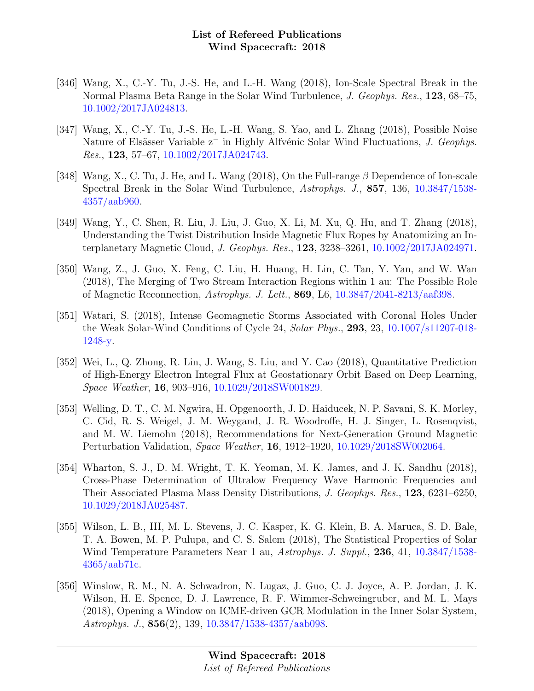- [346] Wang, X., C.-Y. Tu, J.-S. He, and L.-H. Wang (2018), Ion-Scale Spectral Break in the Normal Plasma Beta Range in the Solar Wind Turbulence, J. Geophys. Res., 123, 68–75, [10.1002/2017JA024813.](http://dx.doi.org/10.1002/2017JA024813)
- [347] Wang, X., C.-Y. Tu, J.-S. He, L.-H. Wang, S. Yao, and L. Zhang (2018), Possible Noise Nature of Elsässer Variable z<sup>−</sup> in Highly Alfvénic Solar Wind Fluctuations, J. Geophys. Res., 123, 57–67, [10.1002/2017JA024743.](http://dx.doi.org/10.1002/2017JA024743)
- [348] Wang, X., C. Tu, J. He, and L. Wang (2018), On the Full-range  $\beta$  Dependence of Ion-scale Spectral Break in the Solar Wind Turbulence, Astrophys. J., 857, 136, [10.3847/1538-](http://dx.doi.org/10.3847/1538-4357/aab960) [4357/aab960.](http://dx.doi.org/10.3847/1538-4357/aab960)
- [349] Wang, Y., C. Shen, R. Liu, J. Liu, J. Guo, X. Li, M. Xu, Q. Hu, and T. Zhang (2018), Understanding the Twist Distribution Inside Magnetic Flux Ropes by Anatomizing an Interplanetary Magnetic Cloud, J. Geophys. Res., 123, 3238–3261, [10.1002/2017JA024971.](http://dx.doi.org/10.1002/2017JA024971)
- [350] Wang, Z., J. Guo, X. Feng, C. Liu, H. Huang, H. Lin, C. Tan, Y. Yan, and W. Wan (2018), The Merging of Two Stream Interaction Regions within 1 au: The Possible Role of Magnetic Reconnection, Astrophys. J. Lett., 869, L6, [10.3847/2041-8213/aaf398.](http://dx.doi.org/10.3847/2041-8213/aaf398)
- [351] Watari, S. (2018), Intense Geomagnetic Storms Associated with Coronal Holes Under the Weak Solar-Wind Conditions of Cycle 24, Solar Phys., 293, 23, [10.1007/s11207-018-](http://dx.doi.org/10.1007/s11207-018-1248-y) [1248-y.](http://dx.doi.org/10.1007/s11207-018-1248-y)
- [352] Wei, L., Q. Zhong, R. Lin, J. Wang, S. Liu, and Y. Cao (2018), Quantitative Prediction of High-Energy Electron Integral Flux at Geostationary Orbit Based on Deep Learning, Space Weather, 16, 903–916, [10.1029/2018SW001829.](http://dx.doi.org/10.1029/2018SW001829)
- [353] Welling, D. T., C. M. Ngwira, H. Opgenoorth, J. D. Haiducek, N. P. Savani, S. K. Morley, C. Cid, R. S. Weigel, J. M. Weygand, J. R. Woodroffe, H. J. Singer, L. Rosenqvist, and M. W. Liemohn (2018), Recommendations for Next-Generation Ground Magnetic Perturbation Validation, Space Weather, 16, 1912–1920, [10.1029/2018SW002064.](http://dx.doi.org/10.1029/2018SW002064)
- [354] Wharton, S. J., D. M. Wright, T. K. Yeoman, M. K. James, and J. K. Sandhu (2018), Cross-Phase Determination of Ultralow Frequency Wave Harmonic Frequencies and Their Associated Plasma Mass Density Distributions, J. Geophys. Res., 123, 6231–6250, [10.1029/2018JA025487.](http://dx.doi.org/10.1029/2018JA025487)
- [355] Wilson, L. B., III, M. L. Stevens, J. C. Kasper, K. G. Klein, B. A. Maruca, S. D. Bale, T. A. Bowen, M. P. Pulupa, and C. S. Salem (2018), The Statistical Properties of Solar Wind Temperature Parameters Near 1 au, Astrophys. J. Suppl., 236, 41, [10.3847/1538-](http://dx.doi.org/10.3847/1538-4365/aab71c) [4365/aab71c.](http://dx.doi.org/10.3847/1538-4365/aab71c)
- [356] Winslow, R. M., N. A. Schwadron, N. Lugaz, J. Guo, C. J. Joyce, A. P. Jordan, J. K. Wilson, H. E. Spence, D. J. Lawrence, R. F. Wimmer-Schweingruber, and M. L. Mays (2018), Opening a Window on ICME-driven GCR Modulation in the Inner Solar System, Astrophys. J., 856(2), 139, [10.3847/1538-4357/aab098.](http://dx.doi.org/10.3847/1538-4357/aab098)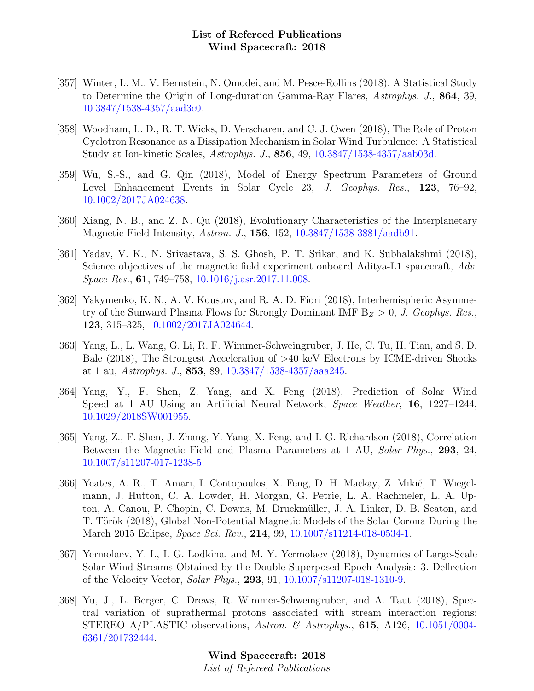- [357] Winter, L. M., V. Bernstein, N. Omodei, and M. Pesce-Rollins (2018), A Statistical Study to Determine the Origin of Long-duration Gamma-Ray Flares, Astrophys. J., 864, 39, [10.3847/1538-4357/aad3c0.](http://dx.doi.org/10.3847/1538-4357/aad3c0)
- [358] Woodham, L. D., R. T. Wicks, D. Verscharen, and C. J. Owen (2018), The Role of Proton Cyclotron Resonance as a Dissipation Mechanism in Solar Wind Turbulence: A Statistical Study at Ion-kinetic Scales, Astrophys. J., 856, 49, [10.3847/1538-4357/aab03d.](http://dx.doi.org/10.3847/1538-4357/aab03d)
- [359] Wu, S.-S., and G. Qin (2018), Model of Energy Spectrum Parameters of Ground Level Enhancement Events in Solar Cycle 23, J. Geophys. Res., 123, 76–92, [10.1002/2017JA024638.](http://dx.doi.org/10.1002/2017JA024638)
- [360] Xiang, N. B., and Z. N. Qu (2018), Evolutionary Characteristics of the Interplanetary Magnetic Field Intensity, Astron. J., 156, 152, [10.3847/1538-3881/aadb91.](http://dx.doi.org/10.3847/1538-3881/aadb91)
- [361] Yadav, V. K., N. Srivastava, S. S. Ghosh, P. T. Srikar, and K. Subhalakshmi (2018), Science objectives of the magnetic field experiment onboard Aditya-L1 spacecraft, Adv. Space Res., 61, 749–758, [10.1016/j.asr.2017.11.008.](http://dx.doi.org/10.1016/j.asr.2017.11.008)
- [362] Yakymenko, K. N., A. V. Koustov, and R. A. D. Fiori (2018), Interhemispheric Asymmetry of the Sunward Plasma Flows for Strongly Dominant IMF  $B_Z > 0$ , J. Geophys. Res., 123, 315–325, [10.1002/2017JA024644.](http://dx.doi.org/10.1002/2017JA024644)
- [363] Yang, L., L. Wang, G. Li, R. F. Wimmer-Schweingruber, J. He, C. Tu, H. Tian, and S. D. Bale (2018), The Strongest Acceleration of >40 keV Electrons by ICME-driven Shocks at 1 au, Astrophys. J., 853, 89, [10.3847/1538-4357/aaa245.](http://dx.doi.org/10.3847/1538-4357/aaa245)
- [364] Yang, Y., F. Shen, Z. Yang, and X. Feng (2018), Prediction of Solar Wind Speed at 1 AU Using an Artificial Neural Network, Space Weather, 16, 1227–1244, [10.1029/2018SW001955.](http://dx.doi.org/10.1029/2018SW001955)
- [365] Yang, Z., F. Shen, J. Zhang, Y. Yang, X. Feng, and I. G. Richardson (2018), Correlation Between the Magnetic Field and Plasma Parameters at 1 AU, Solar Phys., 293, 24, [10.1007/s11207-017-1238-5.](http://dx.doi.org/10.1007/s11207-017-1238-5)
- [366] Yeates, A. R., T. Amari, I. Contopoulos, X. Feng, D. H. Mackay, Z. Mikić, T. Wiegelmann, J. Hutton, C. A. Lowder, H. Morgan, G. Petrie, L. A. Rachmeler, L. A. Upton, A. Canou, P. Chopin, C. Downs, M. Druckmüller, J. A. Linker, D. B. Seaton, and T. Török (2018), Global Non-Potential Magnetic Models of the Solar Corona During the March 2015 Eclipse, Space Sci. Rev., 214, 99, [10.1007/s11214-018-0534-1.](http://dx.doi.org/10.1007/s11214-018-0534-1)
- [367] Yermolaev, Y. I., I. G. Lodkina, and M. Y. Yermolaev (2018), Dynamics of Large-Scale Solar-Wind Streams Obtained by the Double Superposed Epoch Analysis: 3. Deflection of the Velocity Vector, Solar Phys., 293, 91, [10.1007/s11207-018-1310-9.](http://dx.doi.org/10.1007/s11207-018-1310-9)
- [368] Yu, J., L. Berger, C. Drews, R. Wimmer-Schweingruber, and A. Taut (2018), Spectral variation of suprathermal protons associated with stream interaction regions: STEREO A/PLASTIC observations, Astron. & Astrophys.,  $615$ , A126, [10.1051/0004-](http://dx.doi.org/10.1051/0004-6361/201732444) [6361/201732444.](http://dx.doi.org/10.1051/0004-6361/201732444)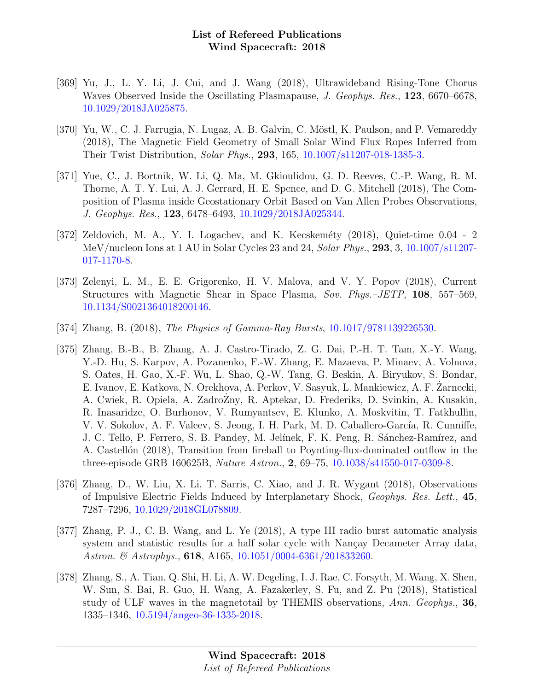- [369] Yu, J., L. Y. Li, J. Cui, and J. Wang (2018), Ultrawideband Rising-Tone Chorus Waves Observed Inside the Oscillating Plasmapause, J. Geophys. Res., 123, 6670–6678, [10.1029/2018JA025875.](http://dx.doi.org/10.1029/2018JA025875)
- [370] Yu, W., C. J. Farrugia, N. Lugaz, A. B. Galvin, C. Möstl, K. Paulson, and P. Vemareddy (2018), The Magnetic Field Geometry of Small Solar Wind Flux Ropes Inferred from Their Twist Distribution, Solar Phys., 293, 165, [10.1007/s11207-018-1385-3.](http://dx.doi.org/10.1007/s11207-018-1385-3)
- [371] Yue, C., J. Bortnik, W. Li, Q. Ma, M. Gkioulidou, G. D. Reeves, C.-P. Wang, R. M. Thorne, A. T. Y. Lui, A. J. Gerrard, H. E. Spence, and D. G. Mitchell (2018), The Composition of Plasma inside Geostationary Orbit Based on Van Allen Probes Observations, J. Geophys. Res., 123, 6478–6493, [10.1029/2018JA025344.](http://dx.doi.org/10.1029/2018JA025344)
- [372] Zeldovich, M. A., Y. I. Logachev, and K. Kecskeméty  $(2018)$ , Quiet-time 0.04 2 MeV/nucleon Ions at 1 AU in Solar Cycles 23 and 24, Solar Phys., 293, 3,  $10.1007 \text{/} \text{s}11207$ -[017-1170-8.](http://dx.doi.org/10.1007/s11207-017-1170-8)
- [373] Zelenyi, L. M., E. E. Grigorenko, H. V. Malova, and V. Y. Popov (2018), Current Structures with Magnetic Shear in Space Plasma, Sov. Phys.–JETP, 108, 557–569, [10.1134/S0021364018200146.](http://dx.doi.org/10.1134/S0021364018200146)
- [374] Zhang, B. (2018), The Physics of Gamma-Ray Bursts, [10.1017/9781139226530.](http://dx.doi.org/10.1017/9781139226530)
- [375] Zhang, B.-B., B. Zhang, A. J. Castro-Tirado, Z. G. Dai, P.-H. T. Tam, X.-Y. Wang, Y.-D. Hu, S. Karpov, A. Pozanenko, F.-W. Zhang, E. Mazaeva, P. Minaev, A. Volnova, S. Oates, H. Gao, X.-F. Wu, L. Shao, Q.-W. Tang, G. Beskin, A. Biryukov, S. Bondar, E. Ivanov, E. Katkova, N. Orekhova, A. Perkov, V. Sasyuk, L. Mankiewicz, A. F. Zarnecki, ˙ A. Cwiek, R. Opiela, A. ZadroZny, R. Aptekar, D. Frederiks, D. Svinkin, A. Kusakin, R. Inasaridze, O. Burhonov, V. Rumyantsev, E. Klunko, A. Moskvitin, T. Fatkhullin, V. V. Sokolov, A. F. Valeev, S. Jeong, I. H. Park, M. D. Caballero-García, R. Cunniffe, J. C. Tello, P. Ferrero, S. B. Pandey, M. Jelínek, F. K. Peng, R. Sánchez-Ramírez, and A. Castellón (2018), Transition from fireball to Poynting-flux-dominated outflow in the three-episode GRB 160625B, Nature Astron., 2, 69–75, [10.1038/s41550-017-0309-8.](http://dx.doi.org/10.1038/s41550-017-0309-8)
- [376] Zhang, D., W. Liu, X. Li, T. Sarris, C. Xiao, and J. R. Wygant (2018), Observations of Impulsive Electric Fields Induced by Interplanetary Shock, Geophys. Res. Lett., 45, 7287–7296, [10.1029/2018GL078809.](http://dx.doi.org/10.1029/2018GL078809)
- [377] Zhang, P. J., C. B. Wang, and L. Ye (2018), A type III radio burst automatic analysis system and statistic results for a half solar cycle with Nancay Decameter Array data, Astron. & Astrophys., **618**, A165, [10.1051/0004-6361/201833260.](http://dx.doi.org/10.1051/0004-6361/201833260)
- [378] Zhang, S., A. Tian, Q. Shi, H. Li, A. W. Degeling, I. J. Rae, C. Forsyth, M. Wang, X. Shen, W. Sun, S. Bai, R. Guo, H. Wang, A. Fazakerley, S. Fu, and Z. Pu (2018), Statistical study of ULF waves in the magnetotail by THEMIS observations, Ann. Geophys., 36, 1335–1346, [10.5194/angeo-36-1335-2018.](http://dx.doi.org/10.5194/angeo-36-1335-2018)